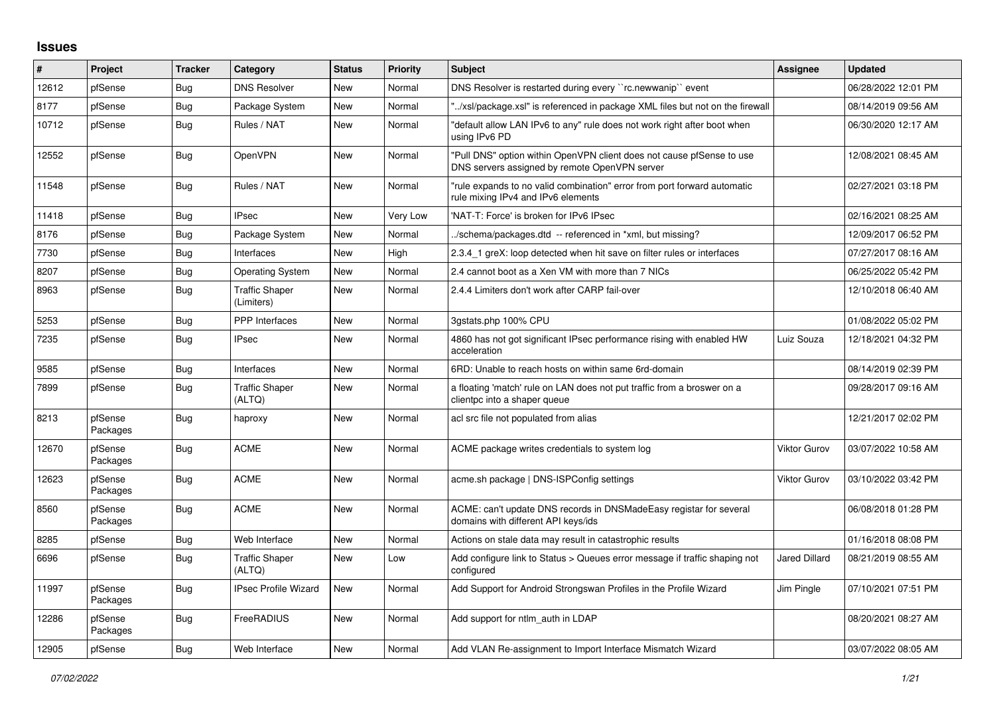## **Issues**

| #     | Project             | <b>Tracker</b> | Category                            | <b>Status</b> | <b>Priority</b> | <b>Subject</b>                                                                                                         | Assignee             | <b>Updated</b>      |
|-------|---------------------|----------------|-------------------------------------|---------------|-----------------|------------------------------------------------------------------------------------------------------------------------|----------------------|---------------------|
| 12612 | pfSense             | Bug            | <b>DNS Resolver</b>                 | <b>New</b>    | Normal          | DNS Resolver is restarted during every "rc.newwanip" event                                                             |                      | 06/28/2022 12:01 PM |
| 8177  | pfSense             | Bug            | Package System                      | New           | Normal          | "/xsl/package.xsl" is referenced in package XML files but not on the firewall                                          |                      | 08/14/2019 09:56 AM |
| 10712 | pfSense             | Bug            | Rules / NAT                         | <b>New</b>    | Normal          | default allow LAN IPv6 to any" rule does not work right after boot when<br>using IPv6 PD                               |                      | 06/30/2020 12:17 AM |
| 12552 | pfSense             | Bug            | OpenVPN                             | <b>New</b>    | Normal          | "Pull DNS" option within OpenVPN client does not cause pfSense to use<br>DNS servers assigned by remote OpenVPN server |                      | 12/08/2021 08:45 AM |
| 11548 | pfSense             | <b>Bug</b>     | Rules / NAT                         | <b>New</b>    | Normal          | "rule expands to no valid combination" error from port forward automatic<br>rule mixing IPv4 and IPv6 elements         |                      | 02/27/2021 03:18 PM |
| 11418 | pfSense             | Bug            | <b>IPsec</b>                        | New           | <b>Very Low</b> | 'NAT-T: Force' is broken for IPv6 IPsec                                                                                |                      | 02/16/2021 08:25 AM |
| 8176  | pfSense             | Bug            | Package System                      | <b>New</b>    | Normal          | /schema/packages.dtd -- referenced in *xml, but missing?                                                               |                      | 12/09/2017 06:52 PM |
| 7730  | pfSense             | Bug            | Interfaces                          | <b>New</b>    | High            | 2.3.4 1 greX: loop detected when hit save on filter rules or interfaces                                                |                      | 07/27/2017 08:16 AM |
| 8207  | pfSense             | <b>Bug</b>     | <b>Operating System</b>             | New           | Normal          | 2.4 cannot boot as a Xen VM with more than 7 NICs                                                                      |                      | 06/25/2022 05:42 PM |
| 8963  | pfSense             | <b>Bug</b>     | <b>Traffic Shaper</b><br>(Limiters) | <b>New</b>    | Normal          | 2.4.4 Limiters don't work after CARP fail-over                                                                         |                      | 12/10/2018 06:40 AM |
| 5253  | pfSense             | <b>Bug</b>     | PPP Interfaces                      | <b>New</b>    | Normal          | 3gstats.php 100% CPU                                                                                                   |                      | 01/08/2022 05:02 PM |
| 7235  | pfSense             | Bug            | <b>IPsec</b>                        | <b>New</b>    | Normal          | 4860 has not got significant IPsec performance rising with enabled HW<br>acceleration                                  | Luiz Souza           | 12/18/2021 04:32 PM |
| 9585  | pfSense             | <b>Bug</b>     | Interfaces                          | <b>New</b>    | Normal          | 6RD: Unable to reach hosts on within same 6rd-domain                                                                   |                      | 08/14/2019 02:39 PM |
| 7899  | pfSense             | Bug            | <b>Traffic Shaper</b><br>(ALTQ)     | <b>New</b>    | Normal          | a floating 'match' rule on LAN does not put traffic from a broswer on a<br>clientpc into a shaper queue                |                      | 09/28/2017 09:16 AM |
| 8213  | pfSense<br>Packages | <b>Bug</b>     | haproxy                             | <b>New</b>    | Normal          | acl src file not populated from alias                                                                                  |                      | 12/21/2017 02:02 PM |
| 12670 | pfSense<br>Packages | Bug            | <b>ACME</b>                         | <b>New</b>    | Normal          | ACME package writes credentials to system log                                                                          | Viktor Gurov         | 03/07/2022 10:58 AM |
| 12623 | pfSense<br>Packages | Bug            | <b>ACME</b>                         | <b>New</b>    | Normal          | acme.sh package   DNS-ISPConfig settings                                                                               | Viktor Gurov         | 03/10/2022 03:42 PM |
| 8560  | pfSense<br>Packages | <b>Bug</b>     | <b>ACME</b>                         | <b>New</b>    | Normal          | ACME: can't update DNS records in DNSMadeEasy registar for several<br>domains with different API keys/ids              |                      | 06/08/2018 01:28 PM |
| 8285  | pfSense             | <b>Bug</b>     | Web Interface                       | <b>New</b>    | Normal          | Actions on stale data may result in catastrophic results                                                               |                      | 01/16/2018 08:08 PM |
| 6696  | pfSense             | Bug            | <b>Traffic Shaper</b><br>(ALTQ)     | <b>New</b>    | Low             | Add configure link to Status > Queues error message if traffic shaping not<br>configured                               | <b>Jared Dillard</b> | 08/21/2019 08:55 AM |
| 11997 | pfSense<br>Packages | <b>Bug</b>     | <b>IPsec Profile Wizard</b>         | <b>New</b>    | Normal          | Add Support for Android Strongswan Profiles in the Profile Wizard                                                      | Jim Pingle           | 07/10/2021 07:51 PM |
| 12286 | pfSense<br>Packages | Bug            | FreeRADIUS                          | <b>New</b>    | Normal          | Add support for ntlm auth in LDAP                                                                                      |                      | 08/20/2021 08:27 AM |
| 12905 | pfSense             | <b>Bug</b>     | Web Interface                       | <b>New</b>    | Normal          | Add VLAN Re-assignment to Import Interface Mismatch Wizard                                                             |                      | 03/07/2022 08:05 AM |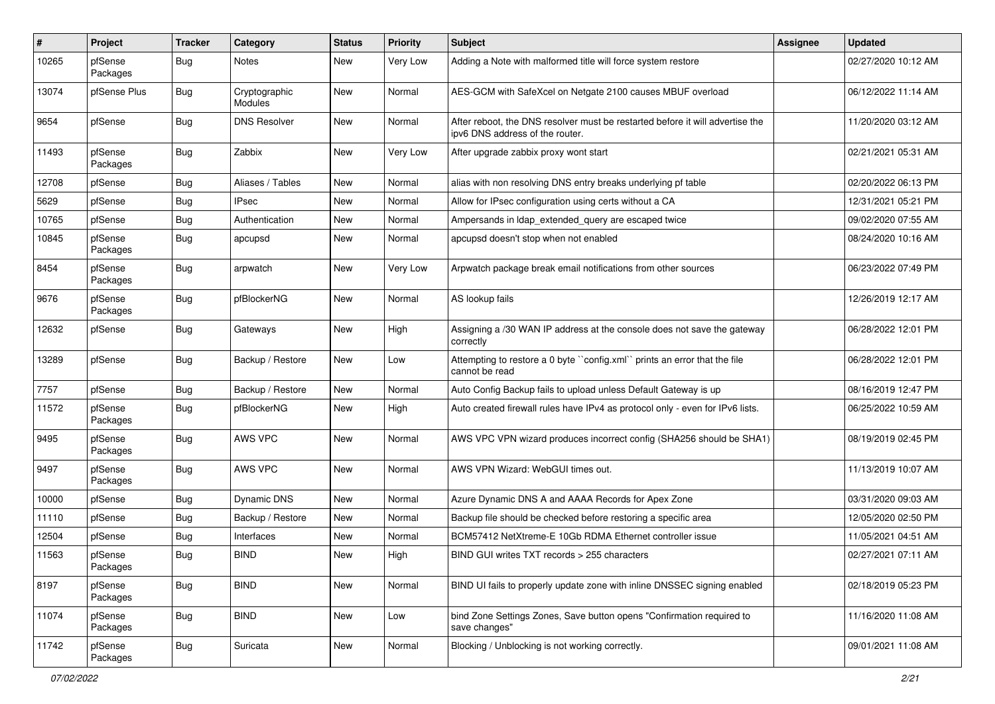| #     | Project             | <b>Tracker</b> | Category                 | <b>Status</b> | <b>Priority</b> | <b>Subject</b>                                                                                                   | Assignee | <b>Updated</b>      |
|-------|---------------------|----------------|--------------------------|---------------|-----------------|------------------------------------------------------------------------------------------------------------------|----------|---------------------|
| 10265 | pfSense<br>Packages | Bug            | <b>Notes</b>             | New           | Very Low        | Adding a Note with malformed title will force system restore                                                     |          | 02/27/2020 10:12 AM |
| 13074 | pfSense Plus        | Bug            | Cryptographic<br>Modules | <b>New</b>    | Normal          | AES-GCM with SafeXcel on Netgate 2100 causes MBUF overload                                                       |          | 06/12/2022 11:14 AM |
| 9654  | pfSense             | Bug            | <b>DNS Resolver</b>      | New           | Normal          | After reboot, the DNS resolver must be restarted before it will advertise the<br>ipv6 DNS address of the router. |          | 11/20/2020 03:12 AM |
| 11493 | pfSense<br>Packages | Bug            | Zabbix                   | New           | Very Low        | After upgrade zabbix proxy wont start                                                                            |          | 02/21/2021 05:31 AM |
| 12708 | pfSense             | Bug            | Aliases / Tables         | New           | Normal          | alias with non resolving DNS entry breaks underlying pf table                                                    |          | 02/20/2022 06:13 PM |
| 5629  | pfSense             | Bug            | <b>IPsec</b>             | <b>New</b>    | Normal          | Allow for IPsec configuration using certs without a CA                                                           |          | 12/31/2021 05:21 PM |
| 10765 | pfSense             | Bug            | Authentication           | New           | Normal          | Ampersands in Idap extended query are escaped twice                                                              |          | 09/02/2020 07:55 AM |
| 10845 | pfSense<br>Packages | Bug            | apcupsd                  | New           | Normal          | apcupsd doesn't stop when not enabled                                                                            |          | 08/24/2020 10:16 AM |
| 8454  | pfSense<br>Packages | Bug            | arpwatch                 | New           | Very Low        | Arpwatch package break email notifications from other sources                                                    |          | 06/23/2022 07:49 PM |
| 9676  | pfSense<br>Packages | Bug            | pfBlockerNG              | New           | Normal          | AS lookup fails                                                                                                  |          | 12/26/2019 12:17 AM |
| 12632 | pfSense             | Bug            | Gateways                 | New           | High            | Assigning a /30 WAN IP address at the console does not save the gateway<br>correctly                             |          | 06/28/2022 12:01 PM |
| 13289 | pfSense             | Bug            | Backup / Restore         | New           | Low             | Attempting to restore a 0 byte "config.xml" prints an error that the file<br>cannot be read                      |          | 06/28/2022 12:01 PM |
| 7757  | pfSense             | Bug            | Backup / Restore         | New           | Normal          | Auto Config Backup fails to upload unless Default Gateway is up                                                  |          | 08/16/2019 12:47 PM |
| 11572 | pfSense<br>Packages | Bug            | pfBlockerNG              | New           | High            | Auto created firewall rules have IPv4 as protocol only - even for IPv6 lists.                                    |          | 06/25/2022 10:59 AM |
| 9495  | pfSense<br>Packages | Bug            | AWS VPC                  | <b>New</b>    | Normal          | AWS VPC VPN wizard produces incorrect config (SHA256 should be SHA1)                                             |          | 08/19/2019 02:45 PM |
| 9497  | pfSense<br>Packages | <b>Bug</b>     | AWS VPC                  | New           | Normal          | AWS VPN Wizard: WebGUI times out.                                                                                |          | 11/13/2019 10:07 AM |
| 10000 | pfSense             | Bug            | Dynamic DNS              | New           | Normal          | Azure Dynamic DNS A and AAAA Records for Apex Zone                                                               |          | 03/31/2020 09:03 AM |
| 11110 | pfSense             | <b>Bug</b>     | Backup / Restore         | New           | Normal          | Backup file should be checked before restoring a specific area                                                   |          | 12/05/2020 02:50 PM |
| 12504 | pfSense             | <b>Bug</b>     | Interfaces               | New           | Normal          | BCM57412 NetXtreme-E 10Gb RDMA Ethernet controller issue                                                         |          | 11/05/2021 04:51 AM |
| 11563 | pfSense<br>Packages | Bug            | <b>BIND</b>              | New           | High            | BIND GUI writes TXT records > 255 characters                                                                     |          | 02/27/2021 07:11 AM |
| 8197  | pfSense<br>Packages | <b>Bug</b>     | <b>BIND</b>              | New           | Normal          | BIND UI fails to properly update zone with inline DNSSEC signing enabled                                         |          | 02/18/2019 05:23 PM |
| 11074 | pfSense<br>Packages | <b>Bug</b>     | <b>BIND</b>              | New           | Low             | bind Zone Settings Zones, Save button opens "Confirmation required to<br>save changes"                           |          | 11/16/2020 11:08 AM |
| 11742 | pfSense<br>Packages | Bug            | Suricata                 | New           | Normal          | Blocking / Unblocking is not working correctly.                                                                  |          | 09/01/2021 11:08 AM |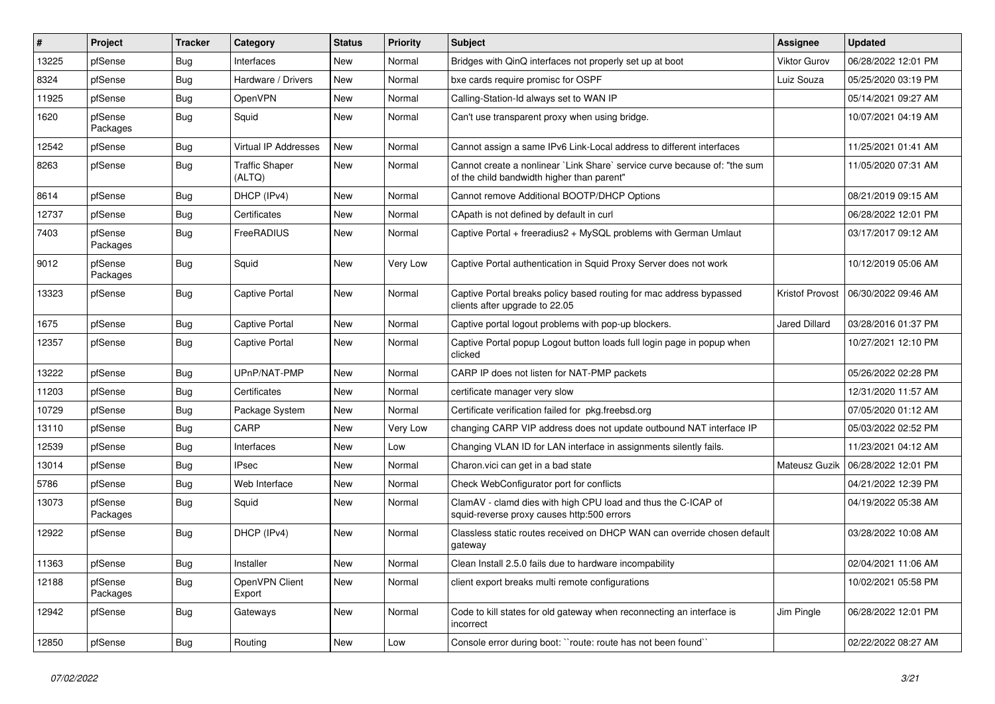| #     | Project             | <b>Tracker</b> | Category                        | <b>Status</b> | <b>Priority</b> | <b>Subject</b>                                                                                                          | Assignee            | <b>Updated</b>      |
|-------|---------------------|----------------|---------------------------------|---------------|-----------------|-------------------------------------------------------------------------------------------------------------------------|---------------------|---------------------|
| 13225 | pfSense             | Bug            | Interfaces                      | New           | Normal          | Bridges with QinQ interfaces not properly set up at boot                                                                | <b>Viktor Gurov</b> | 06/28/2022 12:01 PM |
| 8324  | pfSense             | Bug            | Hardware / Drivers              | <b>New</b>    | Normal          | bxe cards require promisc for OSPF                                                                                      | Luiz Souza          | 05/25/2020 03:19 PM |
| 11925 | pfSense             | Bug            | OpenVPN                         | New           | Normal          | Calling-Station-Id always set to WAN IP                                                                                 |                     | 05/14/2021 09:27 AM |
| 1620  | pfSense<br>Packages | Bug            | Squid                           | New           | Normal          | Can't use transparent proxy when using bridge.                                                                          |                     | 10/07/2021 04:19 AM |
| 12542 | pfSense             | Bug            | <b>Virtual IP Addresses</b>     | New           | Normal          | Cannot assign a same IPv6 Link-Local address to different interfaces                                                    |                     | 11/25/2021 01:41 AM |
| 8263  | pfSense             | Bug            | <b>Traffic Shaper</b><br>(ALTQ) | New           | Normal          | Cannot create a nonlinear `Link Share` service curve because of: "the sum<br>of the child bandwidth higher than parent" |                     | 11/05/2020 07:31 AM |
| 8614  | pfSense             | Bug            | DHCP (IPv4)                     | New           | Normal          | Cannot remove Additional BOOTP/DHCP Options                                                                             |                     | 08/21/2019 09:15 AM |
| 12737 | pfSense             | Bug            | Certificates                    | New           | Normal          | CApath is not defined by default in curl                                                                                |                     | 06/28/2022 12:01 PM |
| 7403  | pfSense<br>Packages | Bug            | FreeRADIUS                      | New           | Normal          | Captive Portal + freeradius2 + MySQL problems with German Umlaut                                                        |                     | 03/17/2017 09:12 AM |
| 9012  | pfSense<br>Packages | Bug            | Squid                           | New           | Very Low        | Captive Portal authentication in Squid Proxy Server does not work                                                       |                     | 10/12/2019 05:06 AM |
| 13323 | pfSense             | Bug            | Captive Portal                  | New           | Normal          | Captive Portal breaks policy based routing for mac address bypassed<br>clients after upgrade to 22.05                   | Kristof Provost     | 06/30/2022 09:46 AM |
| 1675  | pfSense             | Bug            | <b>Captive Portal</b>           | New           | Normal          | Captive portal logout problems with pop-up blockers.                                                                    | Jared Dillard       | 03/28/2016 01:37 PM |
| 12357 | pfSense             | Bug            | Captive Portal                  | New           | Normal          | Captive Portal popup Logout button loads full login page in popup when<br>clicked                                       |                     | 10/27/2021 12:10 PM |
| 13222 | pfSense             | Bug            | UPnP/NAT-PMP                    | New           | Normal          | CARP IP does not listen for NAT-PMP packets                                                                             |                     | 05/26/2022 02:28 PM |
| 11203 | pfSense             | Bug            | Certificates                    | New           | Normal          | certificate manager very slow                                                                                           |                     | 12/31/2020 11:57 AM |
| 10729 | pfSense             | Bug            | Package System                  | New           | Normal          | Certificate verification failed for pkg.freebsd.org                                                                     |                     | 07/05/2020 01:12 AM |
| 13110 | pfSense             | Bug            | CARP                            | New           | Very Low        | changing CARP VIP address does not update outbound NAT interface IP                                                     |                     | 05/03/2022 02:52 PM |
| 12539 | pfSense             | Bug            | Interfaces                      | New           | Low             | Changing VLAN ID for LAN interface in assignments silently fails.                                                       |                     | 11/23/2021 04:12 AM |
| 13014 | pfSense             | Bug            | <b>IPsec</b>                    | New           | Normal          | Charon.vici can get in a bad state                                                                                      | Mateusz Guzik       | 06/28/2022 12:01 PM |
| 5786  | pfSense             | Bug            | Web Interface                   | New           | Normal          | Check WebConfigurator port for conflicts                                                                                |                     | 04/21/2022 12:39 PM |
| 13073 | pfSense<br>Packages | Bug            | Squid                           | New           | Normal          | ClamAV - clamd dies with high CPU load and thus the C-ICAP of<br>squid-reverse proxy causes http:500 errors             |                     | 04/19/2022 05:38 AM |
| 12922 | pfSense             | Bug            | DHCP (IPv4)                     | New           | Normal          | Classless static routes received on DHCP WAN can override chosen default<br>gateway                                     |                     | 03/28/2022 10:08 AM |
| 11363 | pfSense             | <b>Bug</b>     | Installer                       | New           | Normal          | Clean Install 2.5.0 fails due to hardware incompability                                                                 |                     | 02/04/2021 11:06 AM |
| 12188 | pfSense<br>Packages | Bug            | OpenVPN Client<br>Export        | New           | Normal          | client export breaks multi remote configurations                                                                        |                     | 10/02/2021 05:58 PM |
| 12942 | pfSense             | <b>Bug</b>     | Gateways                        | New           | Normal          | Code to kill states for old gateway when reconnecting an interface is<br>incorrect                                      | Jim Pingle          | 06/28/2022 12:01 PM |
| 12850 | pfSense             | <b>Bug</b>     | Routing                         | New           | Low             | Console error during boot: "route: route has not been found"                                                            |                     | 02/22/2022 08:27 AM |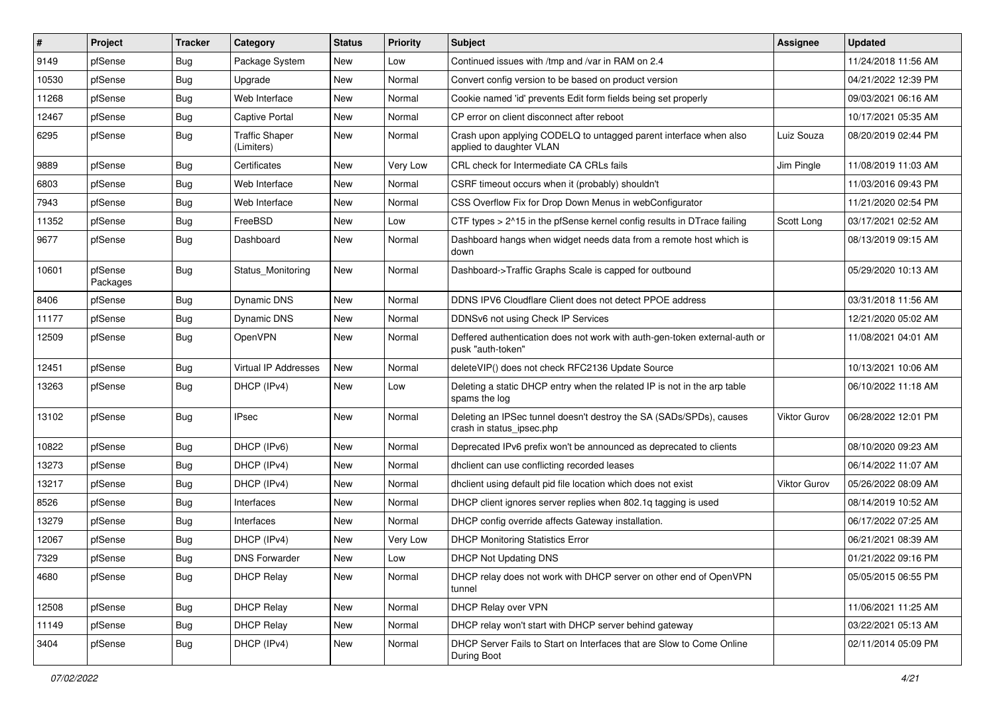| #     | Project             | <b>Tracker</b> | Category                            | <b>Status</b> | <b>Priority</b> | <b>Subject</b>                                                                                   | Assignee     | <b>Updated</b>      |
|-------|---------------------|----------------|-------------------------------------|---------------|-----------------|--------------------------------------------------------------------------------------------------|--------------|---------------------|
| 9149  | pfSense             | Bug            | Package System                      | New           | Low             | Continued issues with /tmp and /var in RAM on 2.4                                                |              | 11/24/2018 11:56 AM |
| 10530 | pfSense             | Bug            | Upgrade                             | <b>New</b>    | Normal          | Convert config version to be based on product version                                            |              | 04/21/2022 12:39 PM |
| 11268 | pfSense             | Bug            | Web Interface                       | New           | Normal          | Cookie named 'id' prevents Edit form fields being set properly                                   |              | 09/03/2021 06:16 AM |
| 12467 | pfSense             | Bug            | Captive Portal                      | New           | Normal          | CP error on client disconnect after reboot                                                       |              | 10/17/2021 05:35 AM |
| 6295  | pfSense             | Bug            | <b>Traffic Shaper</b><br>(Limiters) | New           | Normal          | Crash upon applying CODELQ to untagged parent interface when also<br>applied to daughter VLAN    | Luiz Souza   | 08/20/2019 02:44 PM |
| 9889  | pfSense             | Bug            | Certificates                        | New           | Very Low        | CRL check for Intermediate CA CRLs fails                                                         | Jim Pingle   | 11/08/2019 11:03 AM |
| 6803  | pfSense             | Bug            | Web Interface                       | New           | Normal          | CSRF timeout occurs when it (probably) shouldn't                                                 |              | 11/03/2016 09:43 PM |
| 7943  | pfSense             | Bug            | Web Interface                       | New           | Normal          | CSS Overflow Fix for Drop Down Menus in webConfigurator                                          |              | 11/21/2020 02:54 PM |
| 11352 | pfSense             | Bug            | FreeBSD                             | New           | Low             | CTF types > 2^15 in the pfSense kernel config results in DTrace failing                          | Scott Long   | 03/17/2021 02:52 AM |
| 9677  | pfSense             | Bug            | Dashboard                           | New           | Normal          | Dashboard hangs when widget needs data from a remote host which is<br>down                       |              | 08/13/2019 09:15 AM |
| 10601 | pfSense<br>Packages | Bug            | Status Monitoring                   | New           | Normal          | Dashboard->Traffic Graphs Scale is capped for outbound                                           |              | 05/29/2020 10:13 AM |
| 8406  | pfSense             | Bug            | <b>Dynamic DNS</b>                  | New           | Normal          | DDNS IPV6 Cloudflare Client does not detect PPOE address                                         |              | 03/31/2018 11:56 AM |
| 11177 | pfSense             | Bug            | Dynamic DNS                         | New           | Normal          | DDNSv6 not using Check IP Services                                                               |              | 12/21/2020 05:02 AM |
| 12509 | pfSense             | Bug            | OpenVPN                             | New           | Normal          | Deffered authentication does not work with auth-gen-token external-auth or<br>pusk "auth-token"  |              | 11/08/2021 04:01 AM |
| 12451 | pfSense             | Bug            | <b>Virtual IP Addresses</b>         | New           | Normal          | deleteVIP() does not check RFC2136 Update Source                                                 |              | 10/13/2021 10:06 AM |
| 13263 | pfSense             | Bug            | DHCP (IPv4)                         | New           | Low             | Deleting a static DHCP entry when the related IP is not in the arp table<br>spams the log        |              | 06/10/2022 11:18 AM |
| 13102 | pfSense             | Bug            | <b>IPsec</b>                        | New           | Normal          | Deleting an IPSec tunnel doesn't destroy the SA (SADs/SPDs), causes<br>crash in status_ipsec.php | Viktor Gurov | 06/28/2022 12:01 PM |
| 10822 | pfSense             | Bug            | DHCP (IPv6)                         | New           | Normal          | Deprecated IPv6 prefix won't be announced as deprecated to clients                               |              | 08/10/2020 09:23 AM |
| 13273 | pfSense             | Bug            | DHCP (IPv4)                         | New           | Normal          | dholient can use conflicting recorded leases                                                     |              | 06/14/2022 11:07 AM |
| 13217 | pfSense             | Bug            | DHCP (IPv4)                         | New           | Normal          | dhclient using default pid file location which does not exist                                    | Viktor Gurov | 05/26/2022 08:09 AM |
| 8526  | pfSense             | <b>Bug</b>     | Interfaces                          | New           | Normal          | DHCP client ignores server replies when 802.1g tagging is used                                   |              | 08/14/2019 10:52 AM |
| 13279 | pfSense             | Bug            | Interfaces                          | New           | Normal          | DHCP config override affects Gateway installation.                                               |              | 06/17/2022 07:25 AM |
| 12067 | pfSense             | Bug            | DHCP (IPv4)                         | New           | Very Low        | <b>DHCP Monitoring Statistics Error</b>                                                          |              | 06/21/2021 08:39 AM |
| 7329  | pfSense             | <b>Bug</b>     | <b>DNS Forwarder</b>                | New           | Low             | <b>DHCP Not Updating DNS</b>                                                                     |              | 01/21/2022 09:16 PM |
| 4680  | pfSense             | Bug            | <b>DHCP Relay</b>                   | New           | Normal          | DHCP relay does not work with DHCP server on other end of OpenVPN<br>tunnel                      |              | 05/05/2015 06:55 PM |
| 12508 | pfSense             | Bug            | <b>DHCP Relay</b>                   | New           | Normal          | DHCP Relay over VPN                                                                              |              | 11/06/2021 11:25 AM |
| 11149 | pfSense             | Bug            | <b>DHCP Relay</b>                   | New           | Normal          | DHCP relay won't start with DHCP server behind gateway                                           |              | 03/22/2021 05:13 AM |
| 3404  | pfSense             | <b>Bug</b>     | DHCP (IPv4)                         | New           | Normal          | DHCP Server Fails to Start on Interfaces that are Slow to Come Online<br>During Boot             |              | 02/11/2014 05:09 PM |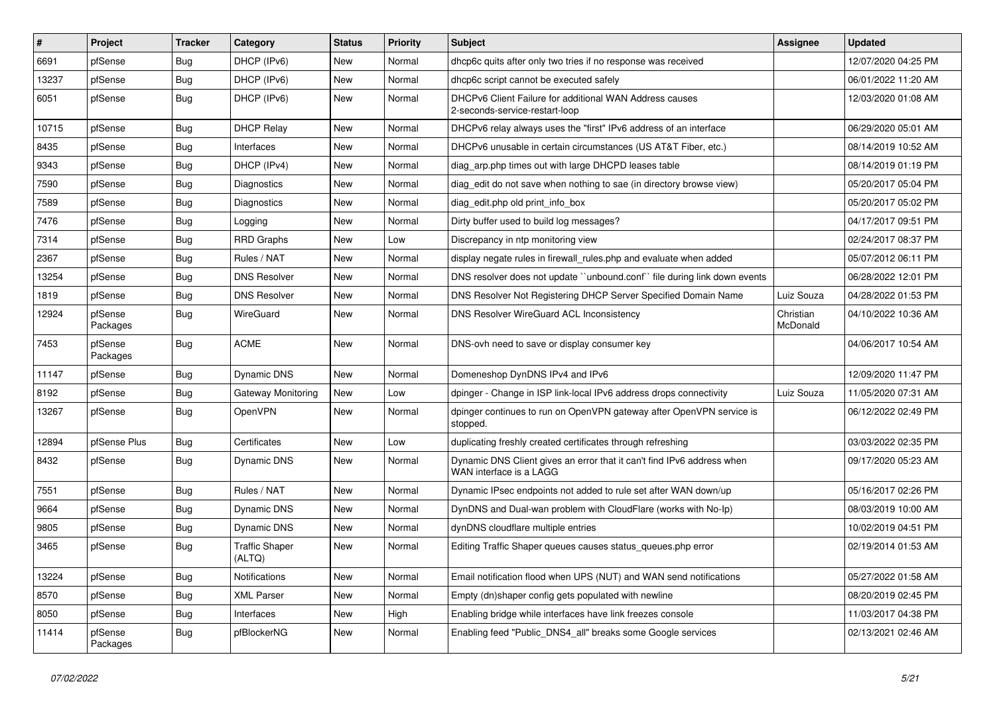| $\vert$ # | Project             | <b>Tracker</b> | Category                        | <b>Status</b> | <b>Priority</b> | <b>Subject</b>                                                                                    | Assignee              | <b>Updated</b>      |
|-----------|---------------------|----------------|---------------------------------|---------------|-----------------|---------------------------------------------------------------------------------------------------|-----------------------|---------------------|
| 6691      | pfSense             | Bug            | DHCP (IPv6)                     | New           | Normal          | dhcp6c quits after only two tries if no response was received                                     |                       | 12/07/2020 04:25 PM |
| 13237     | pfSense             | <b>Bug</b>     | DHCP (IPv6)                     | New           | Normal          | dhcp6c script cannot be executed safely                                                           |                       | 06/01/2022 11:20 AM |
| 6051      | pfSense             | Bug            | DHCP (IPv6)                     | New           | Normal          | DHCPv6 Client Failure for additional WAN Address causes<br>2-seconds-service-restart-loop         |                       | 12/03/2020 01:08 AM |
| 10715     | pfSense             | Bug            | <b>DHCP Relay</b>               | New           | Normal          | DHCPv6 relay always uses the "first" IPv6 address of an interface                                 |                       | 06/29/2020 05:01 AM |
| 8435      | pfSense             | <b>Bug</b>     | Interfaces                      | New           | Normal          | DHCPv6 unusable in certain circumstances (US AT&T Fiber, etc.)                                    |                       | 08/14/2019 10:52 AM |
| 9343      | pfSense             | <b>Bug</b>     | DHCP (IPv4)                     | New           | Normal          | diag_arp.php times out with large DHCPD leases table                                              |                       | 08/14/2019 01:19 PM |
| 7590      | pfSense             | <b>Bug</b>     | Diagnostics                     | New           | Normal          | diag_edit do not save when nothing to sae (in directory browse view)                              |                       | 05/20/2017 05:04 PM |
| 7589      | pfSense             | <b>Bug</b>     | Diagnostics                     | New           | Normal          | diag edit.php old print info box                                                                  |                       | 05/20/2017 05:02 PM |
| 7476      | pfSense             | <b>Bug</b>     | Logging                         | New           | Normal          | Dirty buffer used to build log messages?                                                          |                       | 04/17/2017 09:51 PM |
| 7314      | pfSense             | <b>Bug</b>     | <b>RRD Graphs</b>               | New           | Low             | Discrepancy in ntp monitoring view                                                                |                       | 02/24/2017 08:37 PM |
| 2367      | pfSense             | <b>Bug</b>     | Rules / NAT                     | New           | Normal          | display negate rules in firewall_rules.php and evaluate when added                                |                       | 05/07/2012 06:11 PM |
| 13254     | pfSense             | <b>Bug</b>     | <b>DNS Resolver</b>             | New           | Normal          | DNS resolver does not update "unbound.conf" file during link down events                          |                       | 06/28/2022 12:01 PM |
| 1819      | pfSense             | Bug            | <b>DNS Resolver</b>             | New           | Normal          | DNS Resolver Not Registering DHCP Server Specified Domain Name                                    | Luiz Souza            | 04/28/2022 01:53 PM |
| 12924     | pfSense<br>Packages | Bug            | WireGuard                       | New           | Normal          | DNS Resolver WireGuard ACL Inconsistency                                                          | Christian<br>McDonald | 04/10/2022 10:36 AM |
| 7453      | pfSense<br>Packages | Bug            | <b>ACME</b>                     | New           | Normal          | DNS-ovh need to save or display consumer key                                                      |                       | 04/06/2017 10:54 AM |
| 11147     | pfSense             | Bug            | <b>Dynamic DNS</b>              | New           | Normal          | Domeneshop DynDNS IPv4 and IPv6                                                                   |                       | 12/09/2020 11:47 PM |
| 8192      | pfSense             | <b>Bug</b>     | <b>Gateway Monitoring</b>       | New           | Low             | dpinger - Change in ISP link-local IPv6 address drops connectivity                                | Luiz Souza            | 11/05/2020 07:31 AM |
| 13267     | pfSense             | Bug            | OpenVPN                         | New           | Normal          | dpinger continues to run on OpenVPN gateway after OpenVPN service is<br>stopped.                  |                       | 06/12/2022 02:49 PM |
| 12894     | pfSense Plus        | Bug            | Certificates                    | New           | Low             | duplicating freshly created certificates through refreshing                                       |                       | 03/03/2022 02:35 PM |
| 8432      | pfSense             | <b>Bug</b>     | Dynamic DNS                     | New           | Normal          | Dynamic DNS Client gives an error that it can't find IPv6 address when<br>WAN interface is a LAGG |                       | 09/17/2020 05:23 AM |
| 7551      | pfSense             | Bug            | Rules / NAT                     | New           | Normal          | Dynamic IPsec endpoints not added to rule set after WAN down/up                                   |                       | 05/16/2017 02:26 PM |
| 9664      | pfSense             | <b>Bug</b>     | Dynamic DNS                     | New           | Normal          | DynDNS and Dual-wan problem with CloudFlare (works with No-Ip)                                    |                       | 08/03/2019 10:00 AM |
| 9805      | pfSense             | <b>Bug</b>     | Dynamic DNS                     | New           | Normal          | dynDNS cloudflare multiple entries                                                                |                       | 10/02/2019 04:51 PM |
| 3465      | pfSense             | <b>Bug</b>     | <b>Traffic Shaper</b><br>(ALTQ) | New           | Normal          | Editing Traffic Shaper queues causes status_queues.php error                                      |                       | 02/19/2014 01:53 AM |
| 13224     | pfSense             | Bug            | Notifications                   | New           | Normal          | Email notification flood when UPS (NUT) and WAN send notifications                                |                       | 05/27/2022 01:58 AM |
| 8570      | pfSense             | <b>Bug</b>     | <b>XML Parser</b>               | New           | Normal          | Empty (dn)shaper config gets populated with newline                                               |                       | 08/20/2019 02:45 PM |
| 8050      | pfSense             | Bug            | Interfaces                      | New           | High            | Enabling bridge while interfaces have link freezes console                                        |                       | 11/03/2017 04:38 PM |
| 11414     | pfSense<br>Packages | <b>Bug</b>     | pfBlockerNG                     | New           | Normal          | Enabling feed "Public_DNS4_all" breaks some Google services                                       |                       | 02/13/2021 02:46 AM |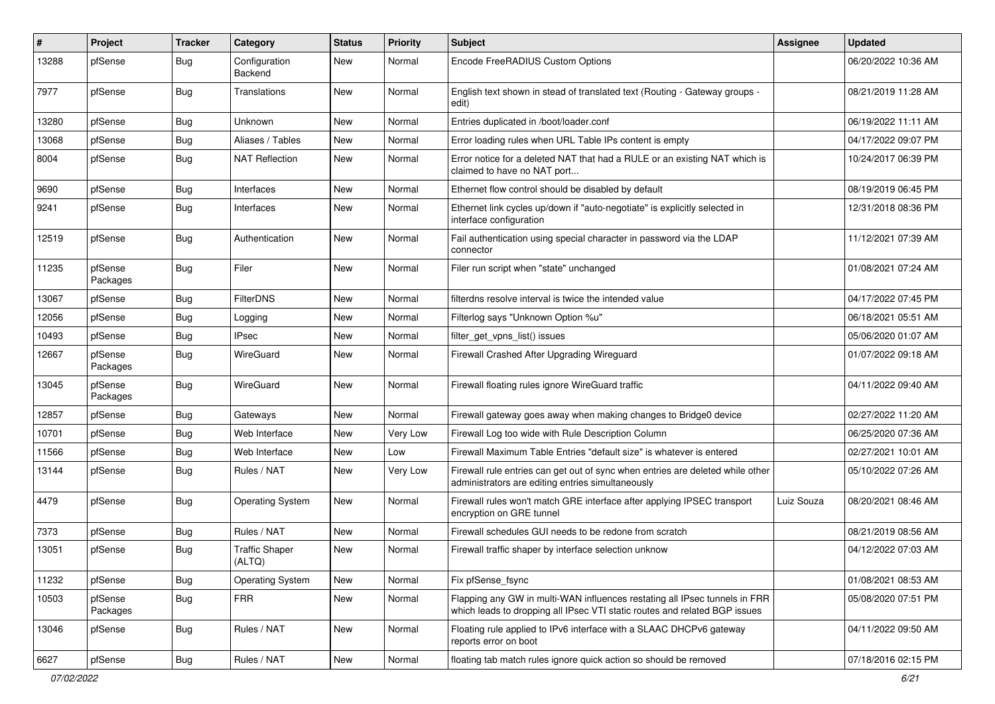| #     | Project             | <b>Tracker</b> | Category                        | <b>Status</b> | <b>Priority</b> | <b>Subject</b>                                                                                                                                           | Assignee   | <b>Updated</b>      |
|-------|---------------------|----------------|---------------------------------|---------------|-----------------|----------------------------------------------------------------------------------------------------------------------------------------------------------|------------|---------------------|
| 13288 | pfSense             | Bug            | Configuration<br>Backend        | <b>New</b>    | Normal          | Encode FreeRADIUS Custom Options                                                                                                                         |            | 06/20/2022 10:36 AM |
| 7977  | pfSense             | <b>Bug</b>     | Translations                    | <b>New</b>    | Normal          | English text shown in stead of translated text (Routing - Gateway groups -<br>edit)                                                                      |            | 08/21/2019 11:28 AM |
| 13280 | pfSense             | <b>Bug</b>     | Unknown                         | <b>New</b>    | Normal          | Entries duplicated in /boot/loader.conf                                                                                                                  |            | 06/19/2022 11:11 AM |
| 13068 | pfSense             | Bug            | Aliases / Tables                | <b>New</b>    | Normal          | Error loading rules when URL Table IPs content is empty                                                                                                  |            | 04/17/2022 09:07 PM |
| 8004  | pfSense             | Bug            | <b>NAT Reflection</b>           | New           | Normal          | Error notice for a deleted NAT that had a RULE or an existing NAT which is<br>claimed to have no NAT port                                                |            | 10/24/2017 06:39 PM |
| 9690  | pfSense             | Bug            | Interfaces                      | <b>New</b>    | Normal          | Ethernet flow control should be disabled by default                                                                                                      |            | 08/19/2019 06:45 PM |
| 9241  | pfSense             | Bug            | Interfaces                      | <b>New</b>    | Normal          | Ethernet link cycles up/down if "auto-negotiate" is explicitly selected in<br>interface configuration                                                    |            | 12/31/2018 08:36 PM |
| 12519 | pfSense             | Bug            | Authentication                  | <b>New</b>    | Normal          | Fail authentication using special character in password via the LDAP<br>connector                                                                        |            | 11/12/2021 07:39 AM |
| 11235 | pfSense<br>Packages | Bug            | Filer                           | <b>New</b>    | Normal          | Filer run script when "state" unchanged                                                                                                                  |            | 01/08/2021 07:24 AM |
| 13067 | pfSense             | Bug            | <b>FilterDNS</b>                | <b>New</b>    | Normal          | filterdns resolve interval is twice the intended value                                                                                                   |            | 04/17/2022 07:45 PM |
| 12056 | pfSense             | Bug            | Logging                         | <b>New</b>    | Normal          | Filterlog says "Unknown Option %u"                                                                                                                       |            | 06/18/2021 05:51 AM |
| 10493 | pfSense             | Bug            | <b>IPsec</b>                    | <b>New</b>    | Normal          | filter_get_vpns_list() issues                                                                                                                            |            | 05/06/2020 01:07 AM |
| 12667 | pfSense<br>Packages | <b>Bug</b>     | WireGuard                       | New           | Normal          | Firewall Crashed After Upgrading Wireguard                                                                                                               |            | 01/07/2022 09:18 AM |
| 13045 | pfSense<br>Packages | <b>Bug</b>     | WireGuard                       | New           | Normal          | Firewall floating rules ignore WireGuard traffic                                                                                                         |            | 04/11/2022 09:40 AM |
| 12857 | pfSense             | <b>Bug</b>     | Gateways                        | <b>New</b>    | Normal          | Firewall gateway goes away when making changes to Bridge0 device                                                                                         |            | 02/27/2022 11:20 AM |
| 10701 | pfSense             | Bug            | Web Interface                   | <b>New</b>    | Very Low        | Firewall Log too wide with Rule Description Column                                                                                                       |            | 06/25/2020 07:36 AM |
| 11566 | pfSense             | Bug            | Web Interface                   | New           | Low             | Firewall Maximum Table Entries "default size" is whatever is entered                                                                                     |            | 02/27/2021 10:01 AM |
| 13144 | pfSense             | Bug            | Rules / NAT                     | <b>New</b>    | Very Low        | Firewall rule entries can get out of sync when entries are deleted while other<br>administrators are editing entries simultaneously                      |            | 05/10/2022 07:26 AM |
| 4479  | pfSense             | <b>Bug</b>     | <b>Operating System</b>         | New           | Normal          | Firewall rules won't match GRE interface after applying IPSEC transport<br>encryption on GRE tunnel                                                      | Luiz Souza | 08/20/2021 08:46 AM |
| 7373  | pfSense             | Bug            | Rules / NAT                     | New           | Normal          | Firewall schedules GUI needs to be redone from scratch                                                                                                   |            | 08/21/2019 08:56 AM |
| 13051 | pfSense             | Bug            | <b>Traffic Shaper</b><br>(ALTQ) | New           | Normal          | Firewall traffic shaper by interface selection unknow                                                                                                    |            | 04/12/2022 07:03 AM |
| 11232 | pfSense             | Bug            | <b>Operating System</b>         | New           | Normal          | Fix pfSense fsync                                                                                                                                        |            | 01/08/2021 08:53 AM |
| 10503 | pfSense<br>Packages | <b>Bug</b>     | <b>FRR</b>                      | New           | Normal          | Flapping any GW in multi-WAN influences restating all IPsec tunnels in FRR<br>which leads to dropping all IPsec VTI static routes and related BGP issues |            | 05/08/2020 07:51 PM |
| 13046 | pfSense             | <b>Bug</b>     | Rules / NAT                     | New           | Normal          | Floating rule applied to IPv6 interface with a SLAAC DHCPv6 gateway<br>reports error on boot                                                             |            | 04/11/2022 09:50 AM |
| 6627  | pfSense             | Bug            | Rules / NAT                     | New           | Normal          | floating tab match rules ignore quick action so should be removed                                                                                        |            | 07/18/2016 02:15 PM |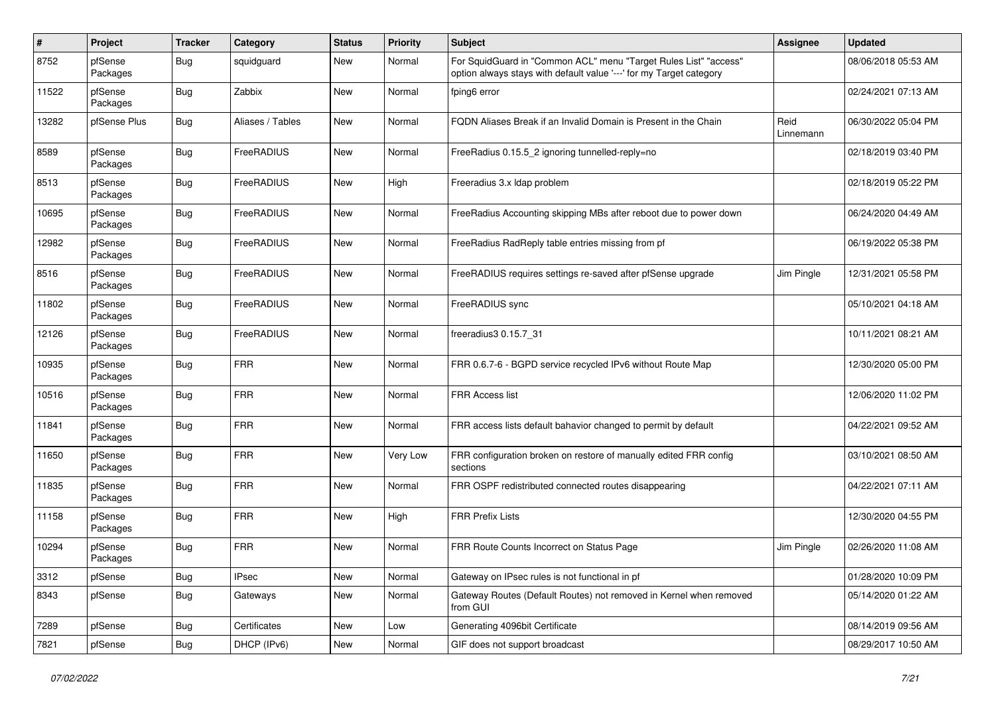| $\pmb{\#}$ | Project             | <b>Tracker</b> | Category         | <b>Status</b> | <b>Priority</b> | <b>Subject</b>                                                                                                                          | <b>Assignee</b>   | <b>Updated</b>      |
|------------|---------------------|----------------|------------------|---------------|-----------------|-----------------------------------------------------------------------------------------------------------------------------------------|-------------------|---------------------|
| 8752       | pfSense<br>Packages | Bug            | squidguard       | New           | Normal          | For SquidGuard in "Common ACL" menu "Target Rules List" "access"<br>option always stays with default value '---' for my Target category |                   | 08/06/2018 05:53 AM |
| 11522      | pfSense<br>Packages | Bug            | Zabbix           | <b>New</b>    | Normal          | fping6 error                                                                                                                            |                   | 02/24/2021 07:13 AM |
| 13282      | pfSense Plus        | Bug            | Aliases / Tables | New           | Normal          | FQDN Aliases Break if an Invalid Domain is Present in the Chain                                                                         | Reid<br>Linnemann | 06/30/2022 05:04 PM |
| 8589       | pfSense<br>Packages | <b>Bug</b>     | FreeRADIUS       | New           | Normal          | FreeRadius 0.15.5_2 ignoring tunnelled-reply=no                                                                                         |                   | 02/18/2019 03:40 PM |
| 8513       | pfSense<br>Packages | <b>Bug</b>     | FreeRADIUS       | New           | High            | Freeradius 3.x Idap problem                                                                                                             |                   | 02/18/2019 05:22 PM |
| 10695      | pfSense<br>Packages | <b>Bug</b>     | FreeRADIUS       | New           | Normal          | FreeRadius Accounting skipping MBs after reboot due to power down                                                                       |                   | 06/24/2020 04:49 AM |
| 12982      | pfSense<br>Packages | <b>Bug</b>     | FreeRADIUS       | New           | Normal          | FreeRadius RadReply table entries missing from pf                                                                                       |                   | 06/19/2022 05:38 PM |
| 8516       | pfSense<br>Packages | <b>Bug</b>     | FreeRADIUS       | New           | Normal          | FreeRADIUS requires settings re-saved after pfSense upgrade                                                                             | Jim Pingle        | 12/31/2021 05:58 PM |
| 11802      | pfSense<br>Packages | Bug            | FreeRADIUS       | New           | Normal          | FreeRADIUS sync                                                                                                                         |                   | 05/10/2021 04:18 AM |
| 12126      | pfSense<br>Packages | <b>Bug</b>     | FreeRADIUS       | New           | Normal          | freeradius3 0.15.7 31                                                                                                                   |                   | 10/11/2021 08:21 AM |
| 10935      | pfSense<br>Packages | <b>Bug</b>     | <b>FRR</b>       | <b>New</b>    | Normal          | FRR 0.6.7-6 - BGPD service recycled IPv6 without Route Map                                                                              |                   | 12/30/2020 05:00 PM |
| 10516      | pfSense<br>Packages | Bug            | <b>FRR</b>       | New           | Normal          | <b>FRR Access list</b>                                                                                                                  |                   | 12/06/2020 11:02 PM |
| 11841      | pfSense<br>Packages | Bug            | <b>FRR</b>       | New           | Normal          | FRR access lists default bahavior changed to permit by default                                                                          |                   | 04/22/2021 09:52 AM |
| 11650      | pfSense<br>Packages | Bug            | <b>FRR</b>       | New           | Very Low        | FRR configuration broken on restore of manually edited FRR config<br>sections                                                           |                   | 03/10/2021 08:50 AM |
| 11835      | pfSense<br>Packages | <b>Bug</b>     | <b>FRR</b>       | New           | Normal          | FRR OSPF redistributed connected routes disappearing                                                                                    |                   | 04/22/2021 07:11 AM |
| 11158      | pfSense<br>Packages | <b>Bug</b>     | <b>FRR</b>       | New           | High            | <b>FRR Prefix Lists</b>                                                                                                                 |                   | 12/30/2020 04:55 PM |
| 10294      | pfSense<br>Packages | <b>Bug</b>     | <b>FRR</b>       | <b>New</b>    | Normal          | FRR Route Counts Incorrect on Status Page                                                                                               | Jim Pingle        | 02/26/2020 11:08 AM |
| 3312       | pfSense             | <b>Bug</b>     | <b>IPsec</b>     | New           | Normal          | Gateway on IPsec rules is not functional in pf                                                                                          |                   | 01/28/2020 10:09 PM |
| 8343       | pfSense             | <b>Bug</b>     | Gateways         | New           | Normal          | Gateway Routes (Default Routes) not removed in Kernel when removed<br>from GUI                                                          |                   | 05/14/2020 01:22 AM |
| 7289       | pfSense             | Bug            | Certificates     | New           | Low             | Generating 4096bit Certificate                                                                                                          |                   | 08/14/2019 09:56 AM |
| 7821       | pfSense             | <b>Bug</b>     | DHCP (IPv6)      | New           | Normal          | GIF does not support broadcast                                                                                                          |                   | 08/29/2017 10:50 AM |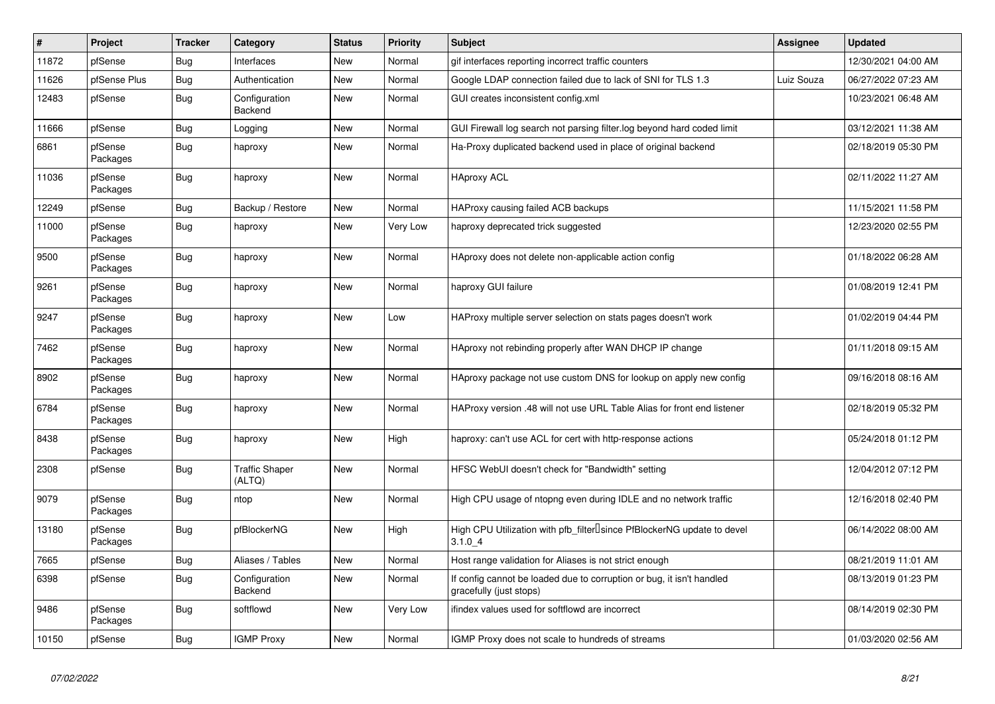| $\vert$ # | Project             | <b>Tracker</b> | Category                        | <b>Status</b> | <b>Priority</b> | Subject                                                                                             | Assignee   | <b>Updated</b>      |
|-----------|---------------------|----------------|---------------------------------|---------------|-----------------|-----------------------------------------------------------------------------------------------------|------------|---------------------|
| 11872     | pfSense             | Bug            | Interfaces                      | <b>New</b>    | Normal          | gif interfaces reporting incorrect traffic counters                                                 |            | 12/30/2021 04:00 AM |
| 11626     | pfSense Plus        | <b>Bug</b>     | Authentication                  | <b>New</b>    | Normal          | Google LDAP connection failed due to lack of SNI for TLS 1.3                                        | Luiz Souza | 06/27/2022 07:23 AM |
| 12483     | pfSense             | Bug            | Configuration<br>Backend        | New           | Normal          | GUI creates inconsistent config.xml                                                                 |            | 10/23/2021 06:48 AM |
| 11666     | pfSense             | <b>Bug</b>     | Logging                         | New           | Normal          | GUI Firewall log search not parsing filter.log beyond hard coded limit                              |            | 03/12/2021 11:38 AM |
| 6861      | pfSense<br>Packages | Bug            | haproxy                         | New           | Normal          | Ha-Proxy duplicated backend used in place of original backend                                       |            | 02/18/2019 05:30 PM |
| 11036     | pfSense<br>Packages | <b>Bug</b>     | haproxy                         | <b>New</b>    | Normal          | <b>HAproxy ACL</b>                                                                                  |            | 02/11/2022 11:27 AM |
| 12249     | pfSense             | <b>Bug</b>     | Backup / Restore                | New           | Normal          | HAProxy causing failed ACB backups                                                                  |            | 11/15/2021 11:58 PM |
| 11000     | pfSense<br>Packages | Bug            | haproxy                         | New           | Very Low        | haproxy deprecated trick suggested                                                                  |            | 12/23/2020 02:55 PM |
| 9500      | pfSense<br>Packages | <b>Bug</b>     | haproxy                         | New           | Normal          | HAproxy does not delete non-applicable action config                                                |            | 01/18/2022 06:28 AM |
| 9261      | pfSense<br>Packages | Bug            | haproxy                         | <b>New</b>    | Normal          | haproxy GUI failure                                                                                 |            | 01/08/2019 12:41 PM |
| 9247      | pfSense<br>Packages | Bug            | haproxy                         | <b>New</b>    | Low             | HAProxy multiple server selection on stats pages doesn't work                                       |            | 01/02/2019 04:44 PM |
| 7462      | pfSense<br>Packages | <b>Bug</b>     | haproxy                         | New           | Normal          | HAproxy not rebinding properly after WAN DHCP IP change                                             |            | 01/11/2018 09:15 AM |
| 8902      | pfSense<br>Packages | Bug            | haproxy                         | New           | Normal          | HAproxy package not use custom DNS for lookup on apply new config                                   |            | 09/16/2018 08:16 AM |
| 6784      | pfSense<br>Packages | Bug            | haproxy                         | <b>New</b>    | Normal          | HAProxy version .48 will not use URL Table Alias for front end listener                             |            | 02/18/2019 05:32 PM |
| 8438      | pfSense<br>Packages | <b>Bug</b>     | haproxy                         | New           | High            | haproxy: can't use ACL for cert with http-response actions                                          |            | 05/24/2018 01:12 PM |
| 2308      | pfSense             | Bug            | <b>Traffic Shaper</b><br>(ALTQ) | New           | Normal          | HFSC WebUI doesn't check for "Bandwidth" setting                                                    |            | 12/04/2012 07:12 PM |
| 9079      | pfSense<br>Packages | <b>Bug</b>     | ntop                            | New           | Normal          | High CPU usage of ntopng even during IDLE and no network traffic                                    |            | 12/16/2018 02:40 PM |
| 13180     | pfSense<br>Packages | Bug            | pfBlockerNG                     | <b>New</b>    | High            | High CPU Utilization with pfb_filter <sup>[]</sup> since PfBlockerNG update to devel<br>$3.1.0 - 4$ |            | 06/14/2022 08:00 AM |
| 7665      | pfSense             | Bug            | Aliases / Tables                | New           | Normal          | Host range validation for Aliases is not strict enough                                              |            | 08/21/2019 11:01 AM |
| 6398      | pfSense             | Bug            | Configuration<br><b>Backend</b> | New           | Normal          | If config cannot be loaded due to corruption or bug, it isn't handled<br>gracefully (just stops)    |            | 08/13/2019 01:23 PM |
| 9486      | pfSense<br>Packages | Bug            | softflowd                       | New           | Very Low        | ifindex values used for softflowd are incorrect                                                     |            | 08/14/2019 02:30 PM |
| 10150     | pfSense             | <b>Bug</b>     | <b>IGMP Proxy</b>               | <b>New</b>    | Normal          | IGMP Proxy does not scale to hundreds of streams                                                    |            | 01/03/2020 02:56 AM |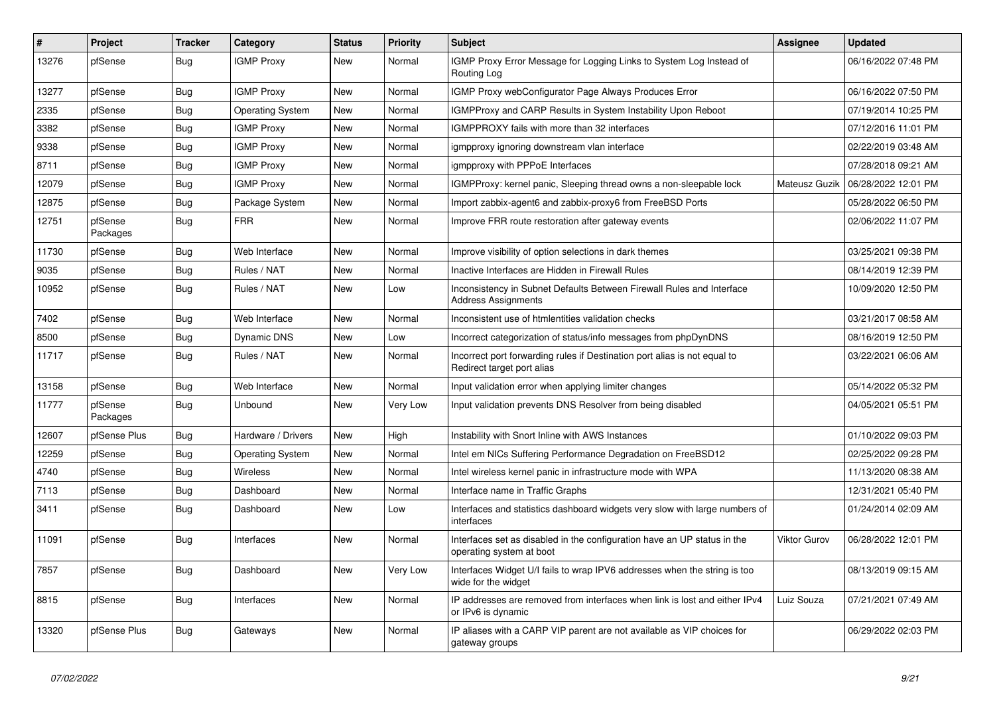| $\vert$ # | Project             | <b>Tracker</b> | Category                | <b>Status</b> | <b>Priority</b> | <b>Subject</b>                                                                                          | Assignee      | <b>Updated</b>      |
|-----------|---------------------|----------------|-------------------------|---------------|-----------------|---------------------------------------------------------------------------------------------------------|---------------|---------------------|
| 13276     | pfSense             | <b>Bug</b>     | <b>IGMP Proxy</b>       | <b>New</b>    | Normal          | IGMP Proxy Error Message for Logging Links to System Log Instead of<br>Routing Log                      |               | 06/16/2022 07:48 PM |
| 13277     | pfSense             | Bug            | <b>IGMP Proxy</b>       | New           | Normal          | IGMP Proxy webConfigurator Page Always Produces Error                                                   |               | 06/16/2022 07:50 PM |
| 2335      | pfSense             | Bug            | <b>Operating System</b> | New           | Normal          | IGMPProxy and CARP Results in System Instability Upon Reboot                                            |               | 07/19/2014 10:25 PM |
| 3382      | pfSense             | Bug            | <b>IGMP Proxy</b>       | New           | Normal          | IGMPPROXY fails with more than 32 interfaces                                                            |               | 07/12/2016 11:01 PM |
| 9338      | pfSense             | Bug            | <b>IGMP Proxy</b>       | New           | Normal          | igmpproxy ignoring downstream vlan interface                                                            |               | 02/22/2019 03:48 AM |
| 8711      | pfSense             | <b>Bug</b>     | <b>IGMP Proxy</b>       | New           | Normal          | igmpproxy with PPPoE Interfaces                                                                         |               | 07/28/2018 09:21 AM |
| 12079     | pfSense             | <b>Bug</b>     | <b>IGMP Proxy</b>       | New           | Normal          | IGMPProxy: kernel panic, Sleeping thread owns a non-sleepable lock                                      | Mateusz Guzik | 06/28/2022 12:01 PM |
| 12875     | pfSense             | <b>Bug</b>     | Package System          | New           | Normal          | Import zabbix-agent6 and zabbix-proxy6 from FreeBSD Ports                                               |               | 05/28/2022 06:50 PM |
| 12751     | pfSense<br>Packages | Bug            | <b>FRR</b>              | New           | Normal          | Improve FRR route restoration after gateway events                                                      |               | 02/06/2022 11:07 PM |
| 11730     | pfSense             | Bug            | Web Interface           | <b>New</b>    | Normal          | Improve visibility of option selections in dark themes                                                  |               | 03/25/2021 09:38 PM |
| 9035      | pfSense             | <b>Bug</b>     | Rules / NAT             | <b>New</b>    | Normal          | Inactive Interfaces are Hidden in Firewall Rules                                                        |               | 08/14/2019 12:39 PM |
| 10952     | pfSense             | <b>Bug</b>     | Rules / NAT             | <b>New</b>    | Low             | Inconsistency in Subnet Defaults Between Firewall Rules and Interface<br><b>Address Assignments</b>     |               | 10/09/2020 12:50 PM |
| 7402      | pfSense             | <b>Bug</b>     | Web Interface           | New           | Normal          | Inconsistent use of htmlentities validation checks                                                      |               | 03/21/2017 08:58 AM |
| 8500      | pfSense             | <b>Bug</b>     | Dynamic DNS             | New           | Low             | Incorrect categorization of status/info messages from phpDynDNS                                         |               | 08/16/2019 12:50 PM |
| 11717     | pfSense             | <b>Bug</b>     | Rules / NAT             | New           | Normal          | Incorrect port forwarding rules if Destination port alias is not equal to<br>Redirect target port alias |               | 03/22/2021 06:06 AM |
| 13158     | pfSense             | <b>Bug</b>     | Web Interface           | New           | Normal          | Input validation error when applying limiter changes                                                    |               | 05/14/2022 05:32 PM |
| 11777     | pfSense<br>Packages | Bug            | <b>Unbound</b>          | <b>New</b>    | Very Low        | Input validation prevents DNS Resolver from being disabled                                              |               | 04/05/2021 05:51 PM |
| 12607     | pfSense Plus        | <b>Bug</b>     | Hardware / Drivers      | <b>New</b>    | High            | Instability with Snort Inline with AWS Instances                                                        |               | 01/10/2022 09:03 PM |
| 12259     | pfSense             | Bug            | <b>Operating System</b> | New           | Normal          | Intel em NICs Suffering Performance Degradation on FreeBSD12                                            |               | 02/25/2022 09:28 PM |
| 4740      | pfSense             | <b>Bug</b>     | <b>Wireless</b>         | New           | Normal          | Intel wireless kernel panic in infrastructure mode with WPA                                             |               | 11/13/2020 08:38 AM |
| 7113      | pfSense             | <b>Bug</b>     | Dashboard               | New           | Normal          | Interface name in Traffic Graphs                                                                        |               | 12/31/2021 05:40 PM |
| 3411      | pfSense             | Bug            | Dashboard               | New           | Low             | Interfaces and statistics dashboard widgets very slow with large numbers of<br>interfaces               |               | 01/24/2014 02:09 AM |
| 11091     | pfSense             | Bug            | Interfaces              | New           | Normal          | Interfaces set as disabled in the configuration have an UP status in the<br>operating system at boot    | Viktor Gurov  | 06/28/2022 12:01 PM |
| 7857      | pfSense             | <b>Bug</b>     | Dashboard               | <b>New</b>    | Very Low        | Interfaces Widget U/I fails to wrap IPV6 addresses when the string is too<br>wide for the widget        |               | 08/13/2019 09:15 AM |
| 8815      | pfSense             | Bug            | Interfaces              | New           | Normal          | IP addresses are removed from interfaces when link is lost and either IPv4<br>or IPv6 is dynamic        | Luiz Souza    | 07/21/2021 07:49 AM |
| 13320     | pfSense Plus        | Bug            | Gateways                | <b>New</b>    | Normal          | IP aliases with a CARP VIP parent are not available as VIP choices for<br>gateway groups                |               | 06/29/2022 02:03 PM |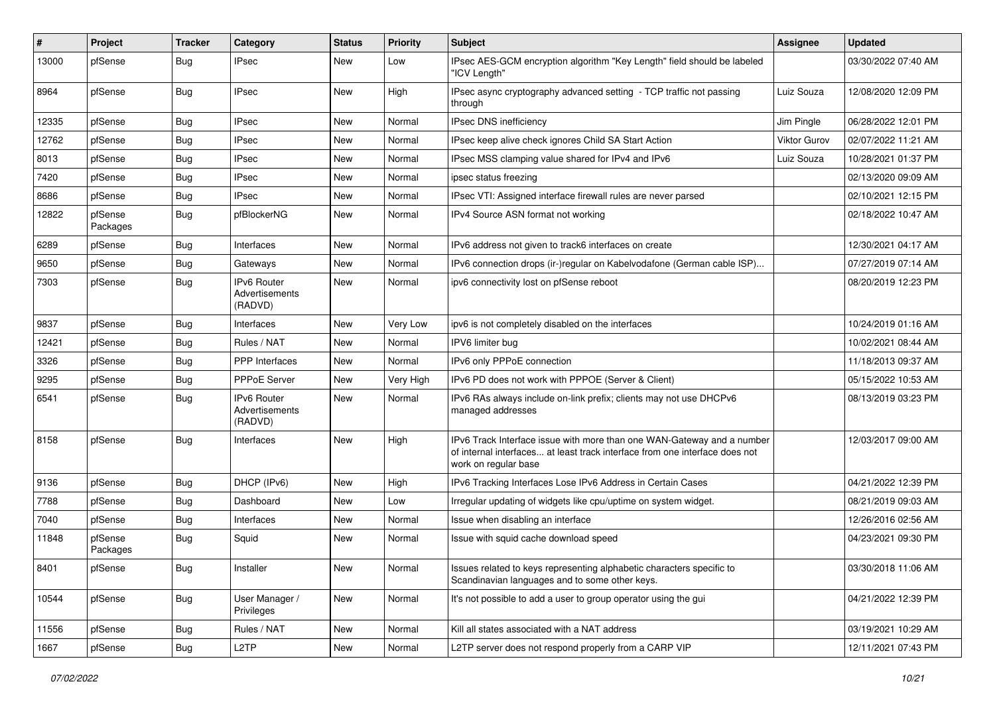| #     | Project             | <b>Tracker</b> | Category                                        | <b>Status</b> | <b>Priority</b> | <b>Subject</b>                                                                                                                                                                | Assignee            | <b>Updated</b>      |
|-------|---------------------|----------------|-------------------------------------------------|---------------|-----------------|-------------------------------------------------------------------------------------------------------------------------------------------------------------------------------|---------------------|---------------------|
| 13000 | pfSense             | Bug            | IPsec                                           | New           | Low             | IPsec AES-GCM encryption algorithm "Key Length" field should be labeled<br>"ICV Length"                                                                                       |                     | 03/30/2022 07:40 AM |
| 8964  | pfSense             | Bug            | <b>IPsec</b>                                    | New           | High            | IPsec async cryptography advanced setting - TCP traffic not passing<br>through                                                                                                | Luiz Souza          | 12/08/2020 12:09 PM |
| 12335 | pfSense             | Bug            | <b>IPsec</b>                                    | <b>New</b>    | Normal          | IPsec DNS inefficiency                                                                                                                                                        | Jim Pingle          | 06/28/2022 12:01 PM |
| 12762 | pfSense             | <b>Bug</b>     | IPsec                                           | New           | Normal          | IPsec keep alive check ignores Child SA Start Action                                                                                                                          | <b>Viktor Gurov</b> | 02/07/2022 11:21 AM |
| 8013  | pfSense             | Bug            | <b>IPsec</b>                                    | New           | Normal          | IPsec MSS clamping value shared for IPv4 and IPv6                                                                                                                             | Luiz Souza          | 10/28/2021 01:37 PM |
| 7420  | pfSense             | <b>Bug</b>     | <b>IPsec</b>                                    | New           | Normal          | ipsec status freezing                                                                                                                                                         |                     | 02/13/2020 09:09 AM |
| 8686  | pfSense             | Bug            | <b>IPsec</b>                                    | New           | Normal          | IPsec VTI: Assigned interface firewall rules are never parsed                                                                                                                 |                     | 02/10/2021 12:15 PM |
| 12822 | pfSense<br>Packages | <b>Bug</b>     | pfBlockerNG                                     | New           | Normal          | IPv4 Source ASN format not working                                                                                                                                            |                     | 02/18/2022 10:47 AM |
| 6289  | pfSense             | Bug            | Interfaces                                      | New           | Normal          | IPv6 address not given to track6 interfaces on create                                                                                                                         |                     | 12/30/2021 04:17 AM |
| 9650  | pfSense             | Bug            | Gateways                                        | <b>New</b>    | Normal          | IPv6 connection drops (ir-)regular on Kabelvodafone (German cable ISP)                                                                                                        |                     | 07/27/2019 07:14 AM |
| 7303  | pfSense             | <b>Bug</b>     | IPv6 Router<br>Advertisements<br>(RADVD)        | New           | Normal          | ipv6 connectivity lost on pfSense reboot                                                                                                                                      |                     | 08/20/2019 12:23 PM |
| 9837  | pfSense             | Bug            | Interfaces                                      | New           | Very Low        | ipv6 is not completely disabled on the interfaces                                                                                                                             |                     | 10/24/2019 01:16 AM |
| 12421 | pfSense             | Bug            | Rules / NAT                                     | New           | Normal          | IPV6 limiter bug                                                                                                                                                              |                     | 10/02/2021 08:44 AM |
| 3326  | pfSense             | Bug            | PPP Interfaces                                  | New           | Normal          | IPv6 only PPPoE connection                                                                                                                                                    |                     | 11/18/2013 09:37 AM |
| 9295  | pfSense             | Bug            | PPPoE Server                                    | New           | Very High       | IPv6 PD does not work with PPPOE (Server & Client)                                                                                                                            |                     | 05/15/2022 10:53 AM |
| 6541  | pfSense             | Bug            | <b>IPv6 Router</b><br>Advertisements<br>(RADVD) | New           | Normal          | IPv6 RAs always include on-link prefix; clients may not use DHCPv6<br>managed addresses                                                                                       |                     | 08/13/2019 03:23 PM |
| 8158  | pfSense             | Bug            | Interfaces                                      | New           | High            | IPv6 Track Interface issue with more than one WAN-Gateway and a number<br>of internal interfaces at least track interface from one interface does not<br>work on regular base |                     | 12/03/2017 09:00 AM |
| 9136  | pfSense             | Bug            | DHCP (IPv6)                                     | <b>New</b>    | High            | IPv6 Tracking Interfaces Lose IPv6 Address in Certain Cases                                                                                                                   |                     | 04/21/2022 12:39 PM |
| 7788  | pfSense             | Bug            | Dashboard                                       | New           | Low             | Irregular updating of widgets like cpu/uptime on system widget.                                                                                                               |                     | 08/21/2019 09:03 AM |
| 7040  | pfSense             | Bug            | Interfaces                                      | New           | Normal          | Issue when disabling an interface                                                                                                                                             |                     | 12/26/2016 02:56 AM |
| 11848 | pfSense<br>Packages | Bug            | Squid                                           | New           | Normal          | Issue with squid cache download speed                                                                                                                                         |                     | 04/23/2021 09:30 PM |
| 8401  | pfSense             | <b>Bug</b>     | Installer                                       | New           | Normal          | Issues related to keys representing alphabetic characters specific to<br>Scandinavian languages and to some other keys.                                                       |                     | 03/30/2018 11:06 AM |
| 10544 | pfSense             | <b>Bug</b>     | User Manager /<br>Privileges                    | New           | Normal          | It's not possible to add a user to group operator using the gui                                                                                                               |                     | 04/21/2022 12:39 PM |
| 11556 | pfSense             | Bug            | Rules / NAT                                     | New           | Normal          | Kill all states associated with a NAT address                                                                                                                                 |                     | 03/19/2021 10:29 AM |
| 1667  | pfSense             | <b>Bug</b>     | L <sub>2</sub> TP                               | New           | Normal          | L2TP server does not respond properly from a CARP VIP                                                                                                                         |                     | 12/11/2021 07:43 PM |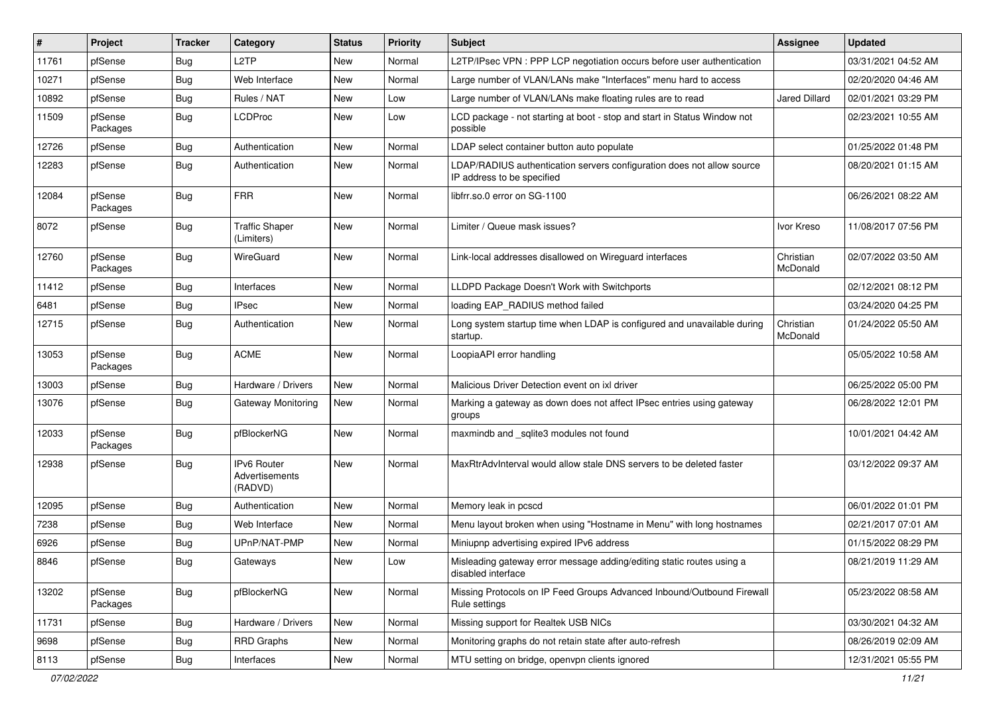| #     | Project             | <b>Tracker</b> | Category                                 | <b>Status</b> | <b>Priority</b> | <b>Subject</b>                                                                                       | <b>Assignee</b>       | <b>Updated</b>      |
|-------|---------------------|----------------|------------------------------------------|---------------|-----------------|------------------------------------------------------------------------------------------------------|-----------------------|---------------------|
| 11761 | pfSense             | Bug            | L <sub>2</sub> TP                        | New           | Normal          | L2TP/IPsec VPN : PPP LCP negotiation occurs before user authentication                               |                       | 03/31/2021 04:52 AM |
| 10271 | pfSense             | Bug            | Web Interface                            | New           | Normal          | Large number of VLAN/LANs make "Interfaces" menu hard to access                                      |                       | 02/20/2020 04:46 AM |
| 10892 | pfSense             | Bug            | Rules / NAT                              | New           | Low             | Large number of VLAN/LANs make floating rules are to read                                            | <b>Jared Dillard</b>  | 02/01/2021 03:29 PM |
| 11509 | pfSense<br>Packages | Bug            | LCDProc                                  | New           | Low             | LCD package - not starting at boot - stop and start in Status Window not<br>possible                 |                       | 02/23/2021 10:55 AM |
| 12726 | pfSense             | Bug            | Authentication                           | New           | Normal          | LDAP select container button auto populate                                                           |                       | 01/25/2022 01:48 PM |
| 12283 | pfSense             | Bug            | Authentication                           | New           | Normal          | LDAP/RADIUS authentication servers configuration does not allow source<br>IP address to be specified |                       | 08/20/2021 01:15 AM |
| 12084 | pfSense<br>Packages | Bug            | <b>FRR</b>                               | New           | Normal          | libfrr.so.0 error on SG-1100                                                                         |                       | 06/26/2021 08:22 AM |
| 8072  | pfSense             | Bug            | <b>Traffic Shaper</b><br>(Limiters)      | New           | Normal          | Limiter / Queue mask issues?                                                                         | Ivor Kreso            | 11/08/2017 07:56 PM |
| 12760 | pfSense<br>Packages | Bug            | WireGuard                                | New           | Normal          | Link-local addresses disallowed on Wireguard interfaces                                              | Christian<br>McDonald | 02/07/2022 03:50 AM |
| 11412 | pfSense             | Bug            | Interfaces                               | New           | Normal          | LLDPD Package Doesn't Work with Switchports                                                          |                       | 02/12/2021 08:12 PM |
| 6481  | pfSense             | Bug            | <b>IPsec</b>                             | New           | Normal          | loading EAP_RADIUS method failed                                                                     |                       | 03/24/2020 04:25 PM |
| 12715 | pfSense             | Bug            | Authentication                           | New           | Normal          | Long system startup time when LDAP is configured and unavailable during<br>startup.                  | Christian<br>McDonald | 01/24/2022 05:50 AM |
| 13053 | pfSense<br>Packages | Bug            | <b>ACME</b>                              | New           | Normal          | LoopiaAPI error handling                                                                             |                       | 05/05/2022 10:58 AM |
| 13003 | pfSense             | Bug            | Hardware / Drivers                       | New           | Normal          | Malicious Driver Detection event on ixl driver                                                       |                       | 06/25/2022 05:00 PM |
| 13076 | pfSense             | Bug            | Gateway Monitoring                       | New           | Normal          | Marking a gateway as down does not affect IPsec entries using gateway<br>groups                      |                       | 06/28/2022 12:01 PM |
| 12033 | pfSense<br>Packages | <b>Bug</b>     | pfBlockerNG                              | New           | Normal          | maxmindb and _sqlite3 modules not found                                                              |                       | 10/01/2021 04:42 AM |
| 12938 | pfSense             | Bug            | IPv6 Router<br>Advertisements<br>(RADVD) | New           | Normal          | MaxRtrAdvInterval would allow stale DNS servers to be deleted faster                                 |                       | 03/12/2022 09:37 AM |
| 12095 | pfSense             | Bug            | Authentication                           | New           | Normal          | Memory leak in pcscd                                                                                 |                       | 06/01/2022 01:01 PM |
| 7238  | pfSense             | Bug            | Web Interface                            | <b>New</b>    | Normal          | Menu layout broken when using "Hostname in Menu" with long hostnames                                 |                       | 02/21/2017 07:01 AM |
| 6926  | pfSense             | Bug            | UPnP/NAT-PMP                             | New           | Normal          | Miniupnp advertising expired IPv6 address                                                            |                       | 01/15/2022 08:29 PM |
| 8846  | pfSense             | <b>Bug</b>     | Gateways                                 | New           | Low             | Misleading gateway error message adding/editing static routes using a<br>disabled interface          |                       | 08/21/2019 11:29 AM |
| 13202 | pfSense<br>Packages | <b>Bug</b>     | pfBlockerNG                              | New           | Normal          | Missing Protocols on IP Feed Groups Advanced Inbound/Outbound Firewall<br>Rule settings              |                       | 05/23/2022 08:58 AM |
| 11731 | pfSense             | Bug            | Hardware / Drivers                       | New           | Normal          | Missing support for Realtek USB NICs                                                                 |                       | 03/30/2021 04:32 AM |
| 9698  | pfSense             | <b>Bug</b>     | <b>RRD Graphs</b>                        | New           | Normal          | Monitoring graphs do not retain state after auto-refresh                                             |                       | 08/26/2019 02:09 AM |
| 8113  | pfSense             | Bug            | Interfaces                               | New           | Normal          | MTU setting on bridge, openvpn clients ignored                                                       |                       | 12/31/2021 05:55 PM |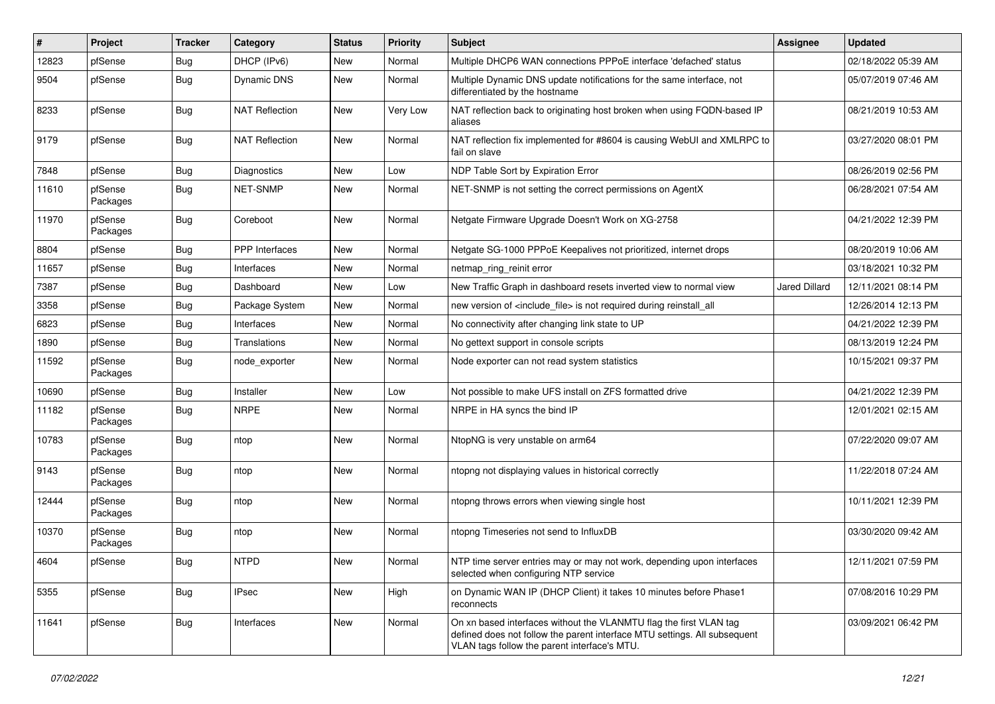| #     | Project             | Tracker    | Category              | <b>Status</b> | <b>Priority</b> | Subject                                                                                                                                                                                         | <b>Assignee</b>      | <b>Updated</b>      |
|-------|---------------------|------------|-----------------------|---------------|-----------------|-------------------------------------------------------------------------------------------------------------------------------------------------------------------------------------------------|----------------------|---------------------|
| 12823 | pfSense             | <b>Bug</b> | DHCP (IPv6)           | New           | Normal          | Multiple DHCP6 WAN connections PPPoE interface 'defached' status                                                                                                                                |                      | 02/18/2022 05:39 AM |
| 9504  | pfSense             | <b>Bug</b> | Dynamic DNS           | New           | Normal          | Multiple Dynamic DNS update notifications for the same interface, not<br>differentiated by the hostname                                                                                         |                      | 05/07/2019 07:46 AM |
| 8233  | pfSense             | Bug        | <b>NAT Reflection</b> | New           | Very Low        | NAT reflection back to originating host broken when using FQDN-based IP<br>aliases                                                                                                              |                      | 08/21/2019 10:53 AM |
| 9179  | pfSense             | Bug        | <b>NAT Reflection</b> | New           | Normal          | NAT reflection fix implemented for #8604 is causing WebUI and XMLRPC to<br>fail on slave                                                                                                        |                      | 03/27/2020 08:01 PM |
| 7848  | pfSense             | Bug        | Diagnostics           | New           | Low             | NDP Table Sort by Expiration Error                                                                                                                                                              |                      | 08/26/2019 02:56 PM |
| 11610 | pfSense<br>Packages | Bug        | <b>NET-SNMP</b>       | New           | Normal          | NET-SNMP is not setting the correct permissions on AgentX                                                                                                                                       |                      | 06/28/2021 07:54 AM |
| 11970 | pfSense<br>Packages | Bug        | Coreboot              | New           | Normal          | Netgate Firmware Upgrade Doesn't Work on XG-2758                                                                                                                                                |                      | 04/21/2022 12:39 PM |
| 8804  | pfSense             | Bug        | PPP Interfaces        | New           | Normal          | Netgate SG-1000 PPPoE Keepalives not prioritized, internet drops                                                                                                                                |                      | 08/20/2019 10:06 AM |
| 11657 | pfSense             | <b>Bug</b> | Interfaces            | New           | Normal          | netmap ring reinit error                                                                                                                                                                        |                      | 03/18/2021 10:32 PM |
| 7387  | pfSense             | <b>Bug</b> | Dashboard             | New           | Low             | New Traffic Graph in dashboard resets inverted view to normal view                                                                                                                              | <b>Jared Dillard</b> | 12/11/2021 08:14 PM |
| 3358  | pfSense             | <b>Bug</b> | Package System        | New           | Normal          | new version of <include file=""> is not required during reinstall all</include>                                                                                                                 |                      | 12/26/2014 12:13 PM |
| 6823  | pfSense             | <b>Bug</b> | Interfaces            | New           | Normal          | No connectivity after changing link state to UP                                                                                                                                                 |                      | 04/21/2022 12:39 PM |
| 1890  | pfSense             | Bug        | Translations          | New           | Normal          | No gettext support in console scripts                                                                                                                                                           |                      | 08/13/2019 12:24 PM |
| 11592 | pfSense<br>Packages | Bug        | node exporter         | New           | Normal          | Node exporter can not read system statistics                                                                                                                                                    |                      | 10/15/2021 09:37 PM |
| 10690 | pfSense             | Bug        | Installer             | New           | Low             | Not possible to make UFS install on ZFS formatted drive                                                                                                                                         |                      | 04/21/2022 12:39 PM |
| 11182 | pfSense<br>Packages | Bug        | <b>NRPE</b>           | New           | Normal          | NRPE in HA syncs the bind IP                                                                                                                                                                    |                      | 12/01/2021 02:15 AM |
| 10783 | pfSense<br>Packages | Bug        | ntop                  | <b>New</b>    | Normal          | NtopNG is very unstable on arm64                                                                                                                                                                |                      | 07/22/2020 09:07 AM |
| 9143  | pfSense<br>Packages | Bug        | ntop                  | New           | Normal          | ntopng not displaying values in historical correctly                                                                                                                                            |                      | 11/22/2018 07:24 AM |
| 12444 | pfSense<br>Packages | Bug        | ntop                  | New           | Normal          | ntopng throws errors when viewing single host                                                                                                                                                   |                      | 10/11/2021 12:39 PM |
| 10370 | pfSense<br>Packages | Bug        | ntop                  | New           | Normal          | ntopng Timeseries not send to InfluxDB                                                                                                                                                          |                      | 03/30/2020 09:42 AM |
| 4604  | pfSense             | I Bug      | <b>NTPD</b>           | New           | Normal          | NTP time server entries may or may not work, depending upon interfaces<br>selected when configuring NTP service                                                                                 |                      | 12/11/2021 07:59 PM |
| 5355  | pfSense             | Bug        | <b>IPsec</b>          | New           | High            | on Dynamic WAN IP (DHCP Client) it takes 10 minutes before Phase1<br>reconnects                                                                                                                 |                      | 07/08/2016 10:29 PM |
| 11641 | pfSense             | Bug        | Interfaces            | New           | Normal          | On xn based interfaces without the VLANMTU flag the first VLAN tag<br>defined does not follow the parent interface MTU settings. All subsequent<br>VLAN tags follow the parent interface's MTU. |                      | 03/09/2021 06:42 PM |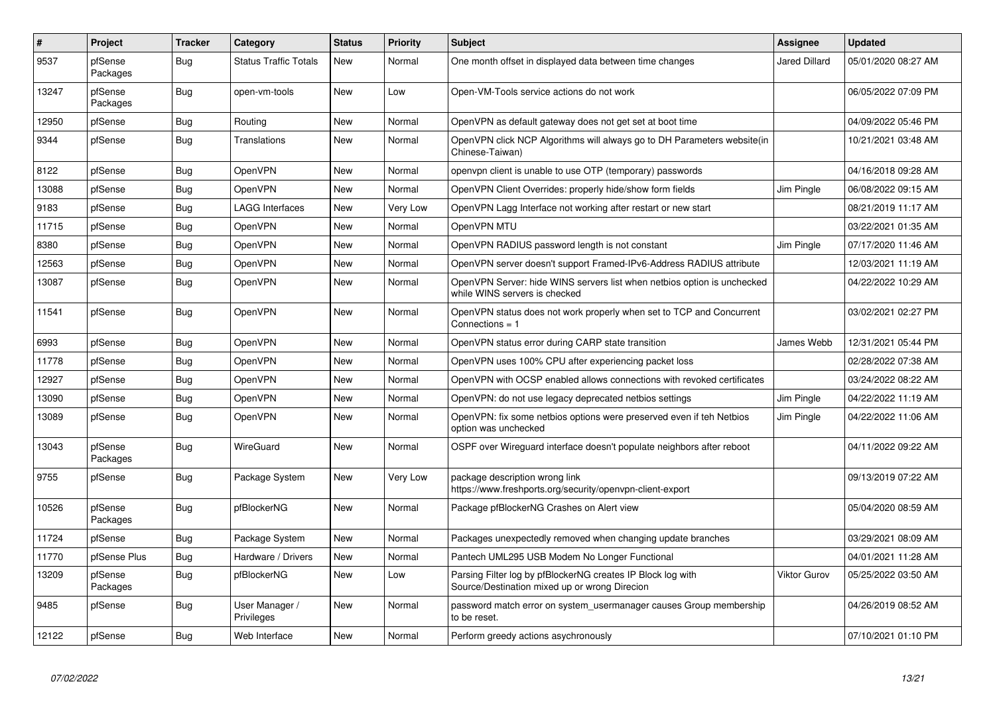| $\vert$ # | Project             | Tracker    | Category                     | <b>Status</b> | Priority | <b>Subject</b>                                                                                               | Assignee      | <b>Updated</b>      |
|-----------|---------------------|------------|------------------------------|---------------|----------|--------------------------------------------------------------------------------------------------------------|---------------|---------------------|
| 9537      | pfSense<br>Packages | <b>Bug</b> | <b>Status Traffic Totals</b> | New           | Normal   | One month offset in displayed data between time changes                                                      | Jared Dillard | 05/01/2020 08:27 AM |
| 13247     | pfSense<br>Packages | Bug        | open-vm-tools                | <b>New</b>    | Low      | Open-VM-Tools service actions do not work                                                                    |               | 06/05/2022 07:09 PM |
| 12950     | pfSense             | <b>Bug</b> | Routing                      | <b>New</b>    | Normal   | OpenVPN as default gateway does not get set at boot time                                                     |               | 04/09/2022 05:46 PM |
| 9344      | pfSense             | <b>Bug</b> | Translations                 | <b>New</b>    | Normal   | OpenVPN click NCP Algorithms will always go to DH Parameters website(in<br>Chinese-Taiwan)                   |               | 10/21/2021 03:48 AM |
| 8122      | pfSense             | <b>Bug</b> | OpenVPN                      | <b>New</b>    | Normal   | openvpn client is unable to use OTP (temporary) passwords                                                    |               | 04/16/2018 09:28 AM |
| 13088     | pfSense             | Bug        | OpenVPN                      | New           | Normal   | OpenVPN Client Overrides: properly hide/show form fields                                                     | Jim Pingle    | 06/08/2022 09:15 AM |
| 9183      | pfSense             | <b>Bug</b> | <b>LAGG Interfaces</b>       | <b>New</b>    | Very Low | OpenVPN Lagg Interface not working after restart or new start                                                |               | 08/21/2019 11:17 AM |
| 11715     | pfSense             | <b>Bug</b> | OpenVPN                      | <b>New</b>    | Normal   | OpenVPN MTU                                                                                                  |               | 03/22/2021 01:35 AM |
| 8380      | pfSense             | <b>Bug</b> | OpenVPN                      | New           | Normal   | OpenVPN RADIUS password length is not constant                                                               | Jim Pingle    | 07/17/2020 11:46 AM |
| 12563     | pfSense             | Bug        | OpenVPN                      | New           | Normal   | OpenVPN server doesn't support Framed-IPv6-Address RADIUS attribute                                          |               | 12/03/2021 11:19 AM |
| 13087     | pfSense             | Bug        | OpenVPN                      | New           | Normal   | OpenVPN Server: hide WINS servers list when netbios option is unchecked<br>while WINS servers is checked     |               | 04/22/2022 10:29 AM |
| 11541     | pfSense             | Bug        | OpenVPN                      | <b>New</b>    | Normal   | OpenVPN status does not work properly when set to TCP and Concurrent<br>Connections $= 1$                    |               | 03/02/2021 02:27 PM |
| 6993      | pfSense             | <b>Bug</b> | OpenVPN                      | <b>New</b>    | Normal   | OpenVPN status error during CARP state transition                                                            | James Webb    | 12/31/2021 05:44 PM |
| 11778     | pfSense             | Bug        | OpenVPN                      | New           | Normal   | OpenVPN uses 100% CPU after experiencing packet loss                                                         |               | 02/28/2022 07:38 AM |
| 12927     | pfSense             | Bug        | OpenVPN                      | <b>New</b>    | Normal   | OpenVPN with OCSP enabled allows connections with revoked certificates                                       |               | 03/24/2022 08:22 AM |
| 13090     | pfSense             | Bug        | OpenVPN                      | New           | Normal   | OpenVPN: do not use legacy deprecated netbios settings                                                       | Jim Pingle    | 04/22/2022 11:19 AM |
| 13089     | pfSense             | Bug        | OpenVPN                      | New           | Normal   | OpenVPN: fix some netbios options were preserved even if teh Netbios<br>option was unchecked                 | Jim Pingle    | 04/22/2022 11:06 AM |
| 13043     | pfSense<br>Packages | <b>Bug</b> | WireGuard                    | <b>New</b>    | Normal   | OSPF over Wireguard interface doesn't populate neighbors after reboot                                        |               | 04/11/2022 09:22 AM |
| 9755      | pfSense             | Bug        | Package System               | <b>New</b>    | Very Low | package description wrong link<br>https://www.freshports.org/security/openvpn-client-export                  |               | 09/13/2019 07:22 AM |
| 10526     | pfSense<br>Packages | Bug        | pfBlockerNG                  | <b>New</b>    | Normal   | Package pfBlockerNG Crashes on Alert view                                                                    |               | 05/04/2020 08:59 AM |
| 11724     | pfSense             | <b>Bug</b> | Package System               | <b>New</b>    | Normal   | Packages unexpectedly removed when changing update branches                                                  |               | 03/29/2021 08:09 AM |
| 11770     | pfSense Plus        | <b>Bug</b> | Hardware / Drivers           | New           | Normal   | Pantech UML295 USB Modem No Longer Functional                                                                |               | 04/01/2021 11:28 AM |
| 13209     | pfSense<br>Packages | <b>Bug</b> | pfBlockerNG                  | <b>New</b>    | Low      | Parsing Filter log by pfBlockerNG creates IP Block log with<br>Source/Destination mixed up or wrong Direcion | Viktor Gurov  | 05/25/2022 03:50 AM |
| 9485      | pfSense             | <b>Bug</b> | User Manager /<br>Privileges | New           | Normal   | password match error on system_usermanager causes Group membership<br>to be reset.                           |               | 04/26/2019 08:52 AM |
| 12122     | pfSense             | Bug        | Web Interface                | <b>New</b>    | Normal   | Perform greedy actions asychronously                                                                         |               | 07/10/2021 01:10 PM |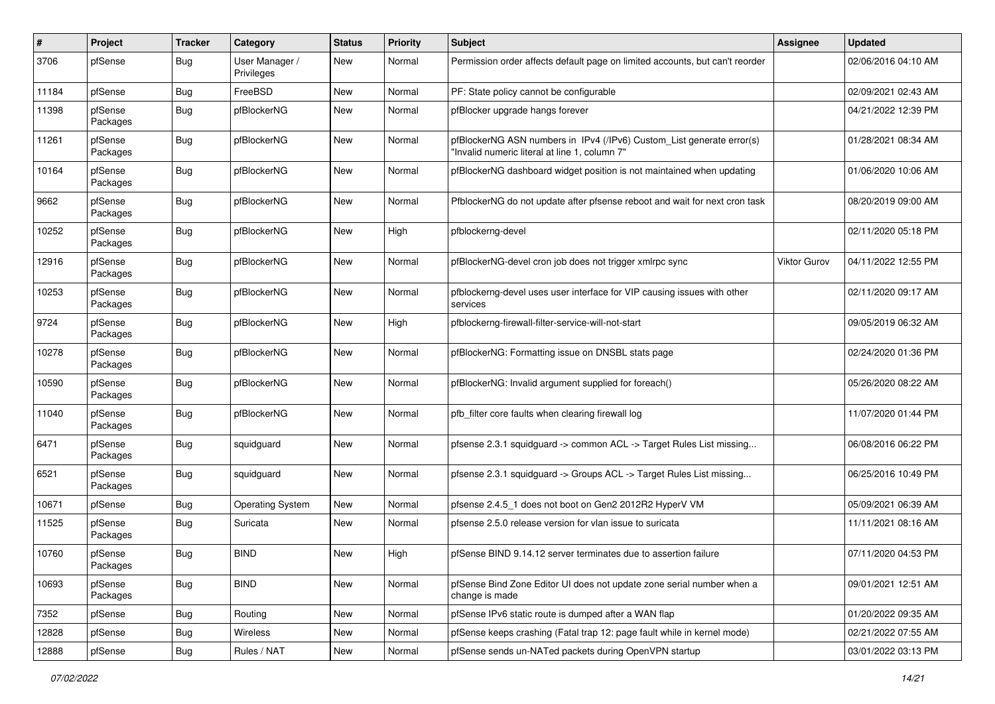| $\sharp$ | Project             | <b>Tracker</b> | Category                     | <b>Status</b> | <b>Priority</b> | Subject                                                                                                                | Assignee            | <b>Updated</b>      |
|----------|---------------------|----------------|------------------------------|---------------|-----------------|------------------------------------------------------------------------------------------------------------------------|---------------------|---------------------|
| 3706     | pfSense             | <b>Bug</b>     | User Manager /<br>Privileges | New           | Normal          | Permission order affects default page on limited accounts, but can't reorder                                           |                     | 02/06/2016 04:10 AM |
| 11184    | pfSense             | Bug            | FreeBSD                      | New           | Normal          | PF: State policy cannot be configurable                                                                                |                     | 02/09/2021 02:43 AM |
| 11398    | pfSense<br>Packages | Bug            | pfBlockerNG                  | New           | Normal          | pfBlocker upgrade hangs forever                                                                                        |                     | 04/21/2022 12:39 PM |
| 11261    | pfSense<br>Packages | <b>Bug</b>     | pfBlockerNG                  | New           | Normal          | pfBlockerNG ASN numbers in IPv4 (/IPv6) Custom_List generate error(s)<br>"Invalid numeric literal at line 1, column 7" |                     | 01/28/2021 08:34 AM |
| 10164    | pfSense<br>Packages | <b>Bug</b>     | pfBlockerNG                  | New           | Normal          | pfBlockerNG dashboard widget position is not maintained when updating                                                  |                     | 01/06/2020 10:06 AM |
| 9662     | pfSense<br>Packages | Bug            | pfBlockerNG                  | New           | Normal          | PfblockerNG do not update after pfsense reboot and wait for next cron task                                             |                     | 08/20/2019 09:00 AM |
| 10252    | pfSense<br>Packages | Bug            | pfBlockerNG                  | New           | High            | pfblockerng-devel                                                                                                      |                     | 02/11/2020 05:18 PM |
| 12916    | pfSense<br>Packages | Bug            | pfBlockerNG                  | New           | Normal          | pfBlockerNG-devel cron job does not trigger xmlrpc sync                                                                | <b>Viktor Gurov</b> | 04/11/2022 12:55 PM |
| 10253    | pfSense<br>Packages | <b>Bug</b>     | pfBlockerNG                  | New           | Normal          | pfblockerng-devel uses user interface for VIP causing issues with other<br>services                                    |                     | 02/11/2020 09:17 AM |
| 9724     | pfSense<br>Packages | Bug            | pfBlockerNG                  | New           | High            | pfblockerng-firewall-filter-service-will-not-start                                                                     |                     | 09/05/2019 06:32 AM |
| 10278    | pfSense<br>Packages | Bug            | pfBlockerNG                  | New           | Normal          | pfBlockerNG: Formatting issue on DNSBL stats page                                                                      |                     | 02/24/2020 01:36 PM |
| 10590    | pfSense<br>Packages | <b>Bug</b>     | pfBlockerNG                  | New           | Normal          | pfBlockerNG: Invalid argument supplied for foreach()                                                                   |                     | 05/26/2020 08:22 AM |
| 11040    | pfSense<br>Packages | <b>Bug</b>     | pfBlockerNG                  | New           | Normal          | pfb filter core faults when clearing firewall log                                                                      |                     | 11/07/2020 01:44 PM |
| 6471     | pfSense<br>Packages | Bug            | squidguard                   | New           | Normal          | pfsense 2.3.1 squidguard -> common ACL -> Target Rules List missing                                                    |                     | 06/08/2016 06:22 PM |
| 6521     | pfSense<br>Packages | Bug            | squidguard                   | <b>New</b>    | Normal          | pfsense 2.3.1 squidguard -> Groups ACL -> Target Rules List missing                                                    |                     | 06/25/2016 10:49 PM |
| 10671    | pfSense             | Bug            | <b>Operating System</b>      | New           | Normal          | pfsense 2.4.5_1 does not boot on Gen2 2012R2 HyperV VM                                                                 |                     | 05/09/2021 06:39 AM |
| 11525    | pfSense<br>Packages | <b>Bug</b>     | Suricata                     | New           | Normal          | pfsense 2.5.0 release version for vlan issue to suricata                                                               |                     | 11/11/2021 08:16 AM |
| 10760    | pfSense<br>Packages | Bug            | <b>BIND</b>                  | New           | High            | pfSense BIND 9.14.12 server terminates due to assertion failure                                                        |                     | 07/11/2020 04:53 PM |
| 10693    | pfSense<br>Packages | <b>Bug</b>     | <b>BIND</b>                  | New           | Normal          | pfSense Bind Zone Editor UI does not update zone serial number when a<br>change is made                                |                     | 09/01/2021 12:51 AM |
| 7352     | pfSense             | Bug            | Routing                      | New           | Normal          | pfSense IPv6 static route is dumped after a WAN flap                                                                   |                     | 01/20/2022 09:35 AM |
| 12828    | pfSense             | <b>Bug</b>     | Wireless                     | New           | Normal          | pfSense keeps crashing (Fatal trap 12: page fault while in kernel mode)                                                |                     | 02/21/2022 07:55 AM |
| 12888    | pfSense             | Bug            | Rules / NAT                  | New           | Normal          | pfSense sends un-NATed packets during OpenVPN startup                                                                  |                     | 03/01/2022 03:13 PM |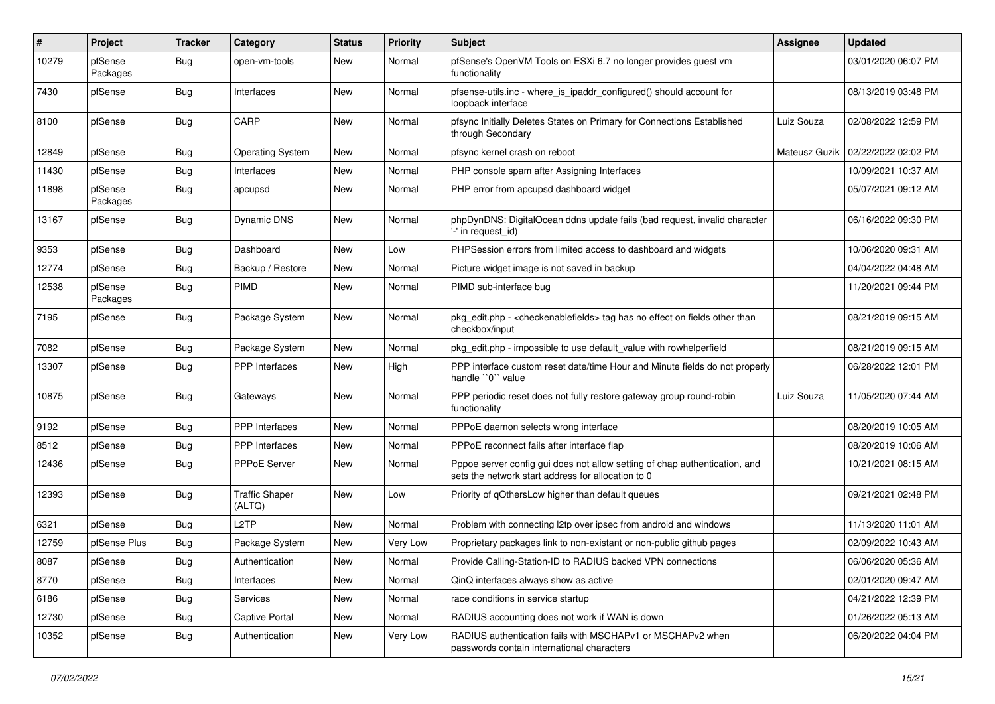| #     | Project             | <b>Tracker</b> | Category                        | <b>Status</b> | <b>Priority</b> | <b>Subject</b>                                                                                                                   | Assignee      | <b>Updated</b>      |
|-------|---------------------|----------------|---------------------------------|---------------|-----------------|----------------------------------------------------------------------------------------------------------------------------------|---------------|---------------------|
| 10279 | pfSense<br>Packages | Bug            | open-vm-tools                   | New           | Normal          | pfSense's OpenVM Tools on ESXi 6.7 no longer provides guest vm<br>functionality                                                  |               | 03/01/2020 06:07 PM |
| 7430  | pfSense             | Bug            | Interfaces                      | New           | Normal          | pfsense-utils.inc - where_is_ipaddr_configured() should account for<br>loopback interface                                        |               | 08/13/2019 03:48 PM |
| 8100  | pfSense             | Bug            | CARP                            | <b>New</b>    | Normal          | pfsync Initially Deletes States on Primary for Connections Established<br>through Secondary                                      | Luiz Souza    | 02/08/2022 12:59 PM |
| 12849 | pfSense             | Bug            | <b>Operating System</b>         | New           | Normal          | pfsync kernel crash on reboot                                                                                                    | Mateusz Guzik | 02/22/2022 02:02 PM |
| 11430 | pfSense             | Bug            | Interfaces                      | New           | Normal          | PHP console spam after Assigning Interfaces                                                                                      |               | 10/09/2021 10:37 AM |
| 11898 | pfSense<br>Packages | <b>Bug</b>     | apcupsd                         | New           | Normal          | PHP error from apcupsd dashboard widget                                                                                          |               | 05/07/2021 09:12 AM |
| 13167 | pfSense             | <b>Bug</b>     | Dynamic DNS                     | New           | Normal          | phpDynDNS: DigitalOcean ddns update fails (bad request, invalid character<br>'-' in request_id)                                  |               | 06/16/2022 09:30 PM |
| 9353  | pfSense             | Bug            | Dashboard                       | <b>New</b>    | Low             | PHPSession errors from limited access to dashboard and widgets                                                                   |               | 10/06/2020 09:31 AM |
| 12774 | pfSense             | <b>Bug</b>     | Backup / Restore                | New           | Normal          | Picture widget image is not saved in backup                                                                                      |               | 04/04/2022 04:48 AM |
| 12538 | pfSense<br>Packages | Bug            | <b>PIMD</b>                     | New           | Normal          | PIMD sub-interface bug                                                                                                           |               | 11/20/2021 09:44 PM |
| 7195  | pfSense             | Bug            | Package System                  | New           | Normal          | pkg_edit.php - <checkenablefields> tag has no effect on fields other than<br/>checkbox/input</checkenablefields>                 |               | 08/21/2019 09:15 AM |
| 7082  | pfSense             | Bug            | Package System                  | New           | Normal          | pkg edit.php - impossible to use default value with rowhelperfield                                                               |               | 08/21/2019 09:15 AM |
| 13307 | pfSense             | <b>Bug</b>     | <b>PPP</b> Interfaces           | New           | High            | PPP interface custom reset date/time Hour and Minute fields do not properly<br>handle "0" value                                  |               | 06/28/2022 12:01 PM |
| 10875 | pfSense             | <b>Bug</b>     | Gateways                        | <b>New</b>    | Normal          | PPP periodic reset does not fully restore gateway group round-robin<br>functionality                                             | Luiz Souza    | 11/05/2020 07:44 AM |
| 9192  | pfSense             | Bug            | PPP Interfaces                  | <b>New</b>    | Normal          | PPPoE daemon selects wrong interface                                                                                             |               | 08/20/2019 10:05 AM |
| 8512  | pfSense             | <b>Bug</b>     | <b>PPP</b> Interfaces           | New           | Normal          | PPPoE reconnect fails after interface flap                                                                                       |               | 08/20/2019 10:06 AM |
| 12436 | pfSense             | <b>Bug</b>     | <b>PPPoE Server</b>             | New           | Normal          | Pppoe server config gui does not allow setting of chap authentication, and<br>sets the network start address for allocation to 0 |               | 10/21/2021 08:15 AM |
| 12393 | pfSense             | Bug            | <b>Traffic Shaper</b><br>(ALTQ) | New           | Low             | Priority of gOthersLow higher than default queues                                                                                |               | 09/21/2021 02:48 PM |
| 6321  | pfSense             | Bug            | L <sub>2</sub> TP               | New           | Normal          | Problem with connecting I2tp over ipsec from android and windows                                                                 |               | 11/13/2020 11:01 AM |
| 12759 | pfSense Plus        | <b>Bug</b>     | Package System                  | New           | Very Low        | Proprietary packages link to non-existant or non-public github pages                                                             |               | 02/09/2022 10:43 AM |
| 8087  | pfSense             | Bug            | Authentication                  | New           | Normal          | Provide Calling-Station-ID to RADIUS backed VPN connections                                                                      |               | 06/06/2020 05:36 AM |
| 8770  | pfSense             | <b>Bug</b>     | Interfaces                      | New           | Normal          | QinQ interfaces always show as active                                                                                            |               | 02/01/2020 09:47 AM |
| 6186  | pfSense             | <b>Bug</b>     | Services                        | New           | Normal          | race conditions in service startup                                                                                               |               | 04/21/2022 12:39 PM |
| 12730 | pfSense             | Bug            | <b>Captive Portal</b>           | New           | Normal          | RADIUS accounting does not work if WAN is down                                                                                   |               | 01/26/2022 05:13 AM |
| 10352 | pfSense             | <b>Bug</b>     | Authentication                  | New           | Very Low        | RADIUS authentication fails with MSCHAPv1 or MSCHAPv2 when<br>passwords contain international characters                         |               | 06/20/2022 04:04 PM |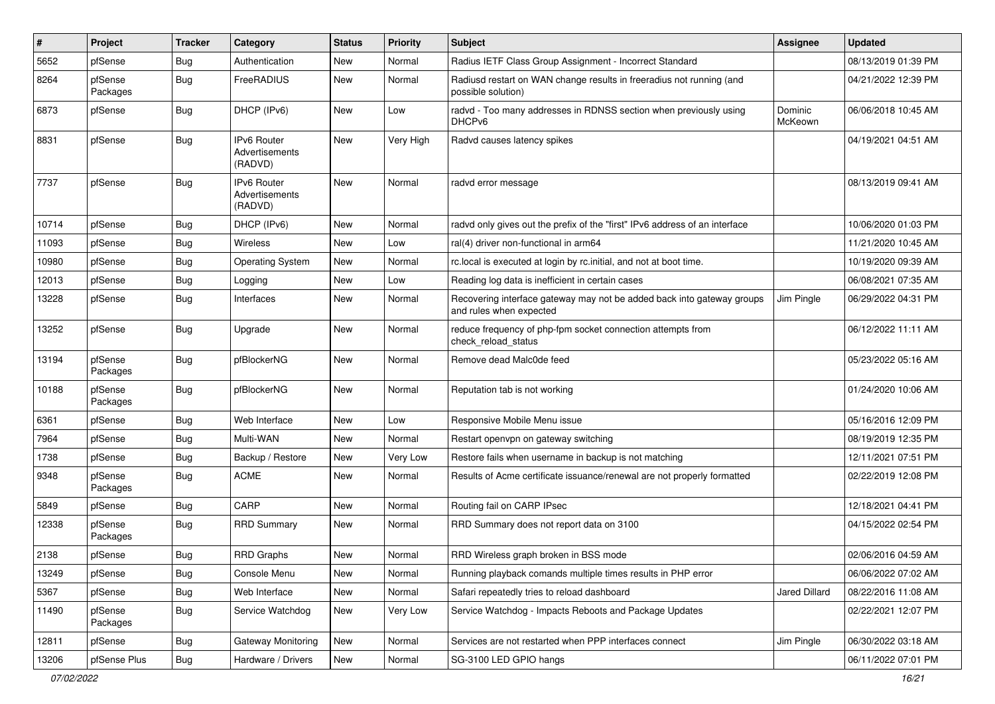| $\vert$ # | Project             | <b>Tracker</b> | Category                                 | <b>Status</b> | <b>Priority</b> | Subject                                                                                           | Assignee             | <b>Updated</b>      |
|-----------|---------------------|----------------|------------------------------------------|---------------|-----------------|---------------------------------------------------------------------------------------------------|----------------------|---------------------|
| 5652      | pfSense             | Bug            | Authentication                           | New           | Normal          | Radius IETF Class Group Assignment - Incorrect Standard                                           |                      | 08/13/2019 01:39 PM |
| 8264      | pfSense<br>Packages | <b>Bug</b>     | FreeRADIUS                               | New           | Normal          | Radiusd restart on WAN change results in freeradius not running (and<br>possible solution)        |                      | 04/21/2022 12:39 PM |
| 6873      | pfSense             | <b>Bug</b>     | DHCP (IPv6)                              | New           | Low             | radvd - Too many addresses in RDNSS section when previously using<br>DHCPv6                       | Dominic<br>McKeown   | 06/06/2018 10:45 AM |
| 8831      | pfSense             | <b>Bug</b>     | IPv6 Router<br>Advertisements<br>(RADVD) | New           | Very High       | Radvd causes latency spikes                                                                       |                      | 04/19/2021 04:51 AM |
| 7737      | pfSense             | Bug            | IPv6 Router<br>Advertisements<br>(RADVD) | <b>New</b>    | Normal          | radvd error message                                                                               |                      | 08/13/2019 09:41 AM |
| 10714     | pfSense             | Bug            | DHCP (IPv6)                              | New           | Normal          | radvd only gives out the prefix of the "first" IPv6 address of an interface                       |                      | 10/06/2020 01:03 PM |
| 11093     | pfSense             | Bug            | Wireless                                 | New           | Low             | ral(4) driver non-functional in arm64                                                             |                      | 11/21/2020 10:45 AM |
| 10980     | pfSense             | Bug            | <b>Operating System</b>                  | New           | Normal          | rc.local is executed at login by rc.initial, and not at boot time.                                |                      | 10/19/2020 09:39 AM |
| 12013     | pfSense             | <b>Bug</b>     | Logging                                  | New           | Low             | Reading log data is inefficient in certain cases                                                  |                      | 06/08/2021 07:35 AM |
| 13228     | pfSense             | <b>Bug</b>     | Interfaces                               | New           | Normal          | Recovering interface gateway may not be added back into gateway groups<br>and rules when expected | Jim Pingle           | 06/29/2022 04:31 PM |
| 13252     | pfSense             | Bug            | Upgrade                                  | New           | Normal          | reduce frequency of php-fpm socket connection attempts from<br>check_reload_status                |                      | 06/12/2022 11:11 AM |
| 13194     | pfSense<br>Packages | Bug            | pfBlockerNG                              | New           | Normal          | Remove dead Malc0de feed                                                                          |                      | 05/23/2022 05:16 AM |
| 10188     | pfSense<br>Packages | <b>Bug</b>     | pfBlockerNG                              | <b>New</b>    | Normal          | Reputation tab is not working                                                                     |                      | 01/24/2020 10:06 AM |
| 6361      | pfSense             | <b>Bug</b>     | Web Interface                            | <b>New</b>    | Low             | Responsive Mobile Menu issue                                                                      |                      | 05/16/2016 12:09 PM |
| 7964      | pfSense             | Bug            | Multi-WAN                                | New           | Normal          | Restart openvpn on gateway switching                                                              |                      | 08/19/2019 12:35 PM |
| 1738      | pfSense             | <b>Bug</b>     | Backup / Restore                         | New           | Very Low        | Restore fails when username in backup is not matching                                             |                      | 12/11/2021 07:51 PM |
| 9348      | pfSense<br>Packages | <b>Bug</b>     | <b>ACME</b>                              | New           | Normal          | Results of Acme certificate issuance/renewal are not properly formatted                           |                      | 02/22/2019 12:08 PM |
| 5849      | pfSense             | Bug            | CARP                                     | New           | Normal          | Routing fail on CARP IPsec                                                                        |                      | 12/18/2021 04:41 PM |
| 12338     | pfSense<br>Packages | Bug            | <b>RRD Summary</b>                       | New           | Normal          | RRD Summary does not report data on 3100                                                          |                      | 04/15/2022 02:54 PM |
| 2138      | pfSense             | Bug            | <b>RRD Graphs</b>                        | New           | Normal          | RRD Wireless graph broken in BSS mode                                                             |                      | 02/06/2016 04:59 AM |
| 13249     | pfSense             | Bug            | Console Menu                             | New           | Normal          | Running playback comands multiple times results in PHP error                                      |                      | 06/06/2022 07:02 AM |
| 5367      | pfSense             | <b>Bug</b>     | Web Interface                            | New           | Normal          | Safari repeatedly tries to reload dashboard                                                       | <b>Jared Dillard</b> | 08/22/2016 11:08 AM |
| 11490     | pfSense<br>Packages | Bug            | Service Watchdog                         | New           | Very Low        | Service Watchdog - Impacts Reboots and Package Updates                                            |                      | 02/22/2021 12:07 PM |
| 12811     | pfSense             | Bug            | Gateway Monitoring                       | New           | Normal          | Services are not restarted when PPP interfaces connect                                            | Jim Pingle           | 06/30/2022 03:18 AM |
| 13206     | pfSense Plus        | Bug            | Hardware / Drivers                       | New           | Normal          | SG-3100 LED GPIO hangs                                                                            |                      | 06/11/2022 07:01 PM |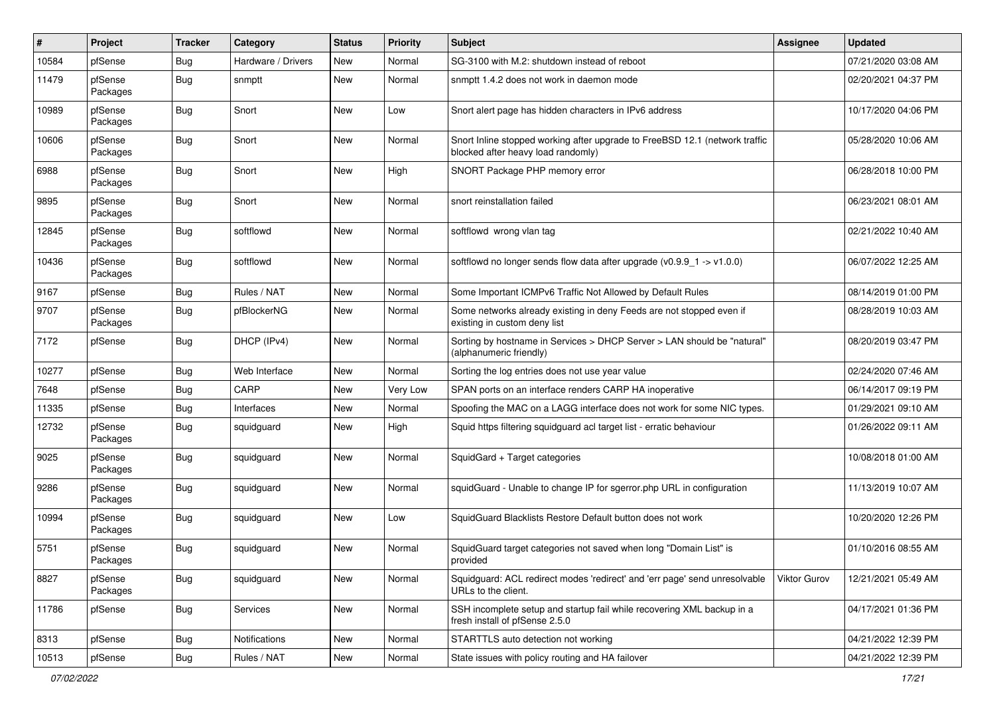| #     | Project             | <b>Tracker</b> | Category           | <b>Status</b> | <b>Priority</b> | <b>Subject</b>                                                                                                    | Assignee     | <b>Updated</b>      |
|-------|---------------------|----------------|--------------------|---------------|-----------------|-------------------------------------------------------------------------------------------------------------------|--------------|---------------------|
| 10584 | pfSense             | Bug            | Hardware / Drivers | New           | Normal          | SG-3100 with M.2: shutdown instead of reboot                                                                      |              | 07/21/2020 03:08 AM |
| 11479 | pfSense<br>Packages | Bug            | snmptt             | New           | Normal          | snmptt 1.4.2 does not work in daemon mode                                                                         |              | 02/20/2021 04:37 PM |
| 10989 | pfSense<br>Packages | Bug            | Snort              | <b>New</b>    | Low             | Snort alert page has hidden characters in IPv6 address                                                            |              | 10/17/2020 04:06 PM |
| 10606 | pfSense<br>Packages | <b>Bug</b>     | Snort              | <b>New</b>    | Normal          | Snort Inline stopped working after upgrade to FreeBSD 12.1 (network traffic<br>blocked after heavy load randomly) |              | 05/28/2020 10:06 AM |
| 6988  | pfSense<br>Packages | <b>Bug</b>     | Snort              | New           | High            | SNORT Package PHP memory error                                                                                    |              | 06/28/2018 10:00 PM |
| 9895  | pfSense<br>Packages | Bug            | Snort              | New           | Normal          | snort reinstallation failed                                                                                       |              | 06/23/2021 08:01 AM |
| 12845 | pfSense<br>Packages | Bug            | softflowd          | New           | Normal          | softflowd wrong vlan tag                                                                                          |              | 02/21/2022 10:40 AM |
| 10436 | pfSense<br>Packages | <b>Bug</b>     | softflowd          | <b>New</b>    | Normal          | softflowd no longer sends flow data after upgrade $(v0.9.9 - 1 - v1.0.0)$                                         |              | 06/07/2022 12:25 AM |
| 9167  | pfSense             | <b>Bug</b>     | Rules / NAT        | New           | Normal          | Some Important ICMPv6 Traffic Not Allowed by Default Rules                                                        |              | 08/14/2019 01:00 PM |
| 9707  | pfSense<br>Packages | Bug            | pfBlockerNG        | New           | Normal          | Some networks already existing in deny Feeds are not stopped even if<br>existing in custom deny list              |              | 08/28/2019 10:03 AM |
| 7172  | pfSense             | Bug            | DHCP (IPv4)        | New           | Normal          | Sorting by hostname in Services > DHCP Server > LAN should be "natural"<br>(alphanumeric friendly)                |              | 08/20/2019 03:47 PM |
| 10277 | pfSense             | Bug            | Web Interface      | New           | Normal          | Sorting the log entries does not use year value                                                                   |              | 02/24/2020 07:46 AM |
| 7648  | pfSense             | <b>Bug</b>     | CARP               | New           | Very Low        | SPAN ports on an interface renders CARP HA inoperative                                                            |              | 06/14/2017 09:19 PM |
| 11335 | pfSense             | <b>Bug</b>     | Interfaces         | New           | Normal          | Spoofing the MAC on a LAGG interface does not work for some NIC types.                                            |              | 01/29/2021 09:10 AM |
| 12732 | pfSense<br>Packages | Bug            | squidguard         | New           | High            | Squid https filtering squidguard acl target list - erratic behaviour                                              |              | 01/26/2022 09:11 AM |
| 9025  | pfSense<br>Packages | Bug            | squidguard         | New           | Normal          | SquidGard + Target categories                                                                                     |              | 10/08/2018 01:00 AM |
| 9286  | pfSense<br>Packages | Bug            | squidguard         | New           | Normal          | squidGuard - Unable to change IP for sgerror.php URL in configuration                                             |              | 11/13/2019 10:07 AM |
| 10994 | pfSense<br>Packages | <b>Bug</b>     | squidquard         | <b>New</b>    | Low             | SquidGuard Blacklists Restore Default button does not work                                                        |              | 10/20/2020 12:26 PM |
| 5751  | pfSense<br>Packages | Bug            | squidguard         | New           | Normal          | SquidGuard target categories not saved when long "Domain List" is<br>provided                                     |              | 01/10/2016 08:55 AM |
| 8827  | pfSense<br>Packages | Bug            | squidguard         | New           | Normal          | Squidguard: ACL redirect modes 'redirect' and 'err page' send unresolvable<br>URLs to the client.                 | Viktor Gurov | 12/21/2021 05:49 AM |
| 11786 | pfSense             | <b>Bug</b>     | Services           | New           | Normal          | SSH incomplete setup and startup fail while recovering XML backup in a<br>fresh install of pfSense 2.5.0          |              | 04/17/2021 01:36 PM |
| 8313  | pfSense             | <b>Bug</b>     | Notifications      | New           | Normal          | STARTTLS auto detection not working                                                                               |              | 04/21/2022 12:39 PM |
| 10513 | pfSense             | <b>Bug</b>     | Rules / NAT        | New           | Normal          | State issues with policy routing and HA failover                                                                  |              | 04/21/2022 12:39 PM |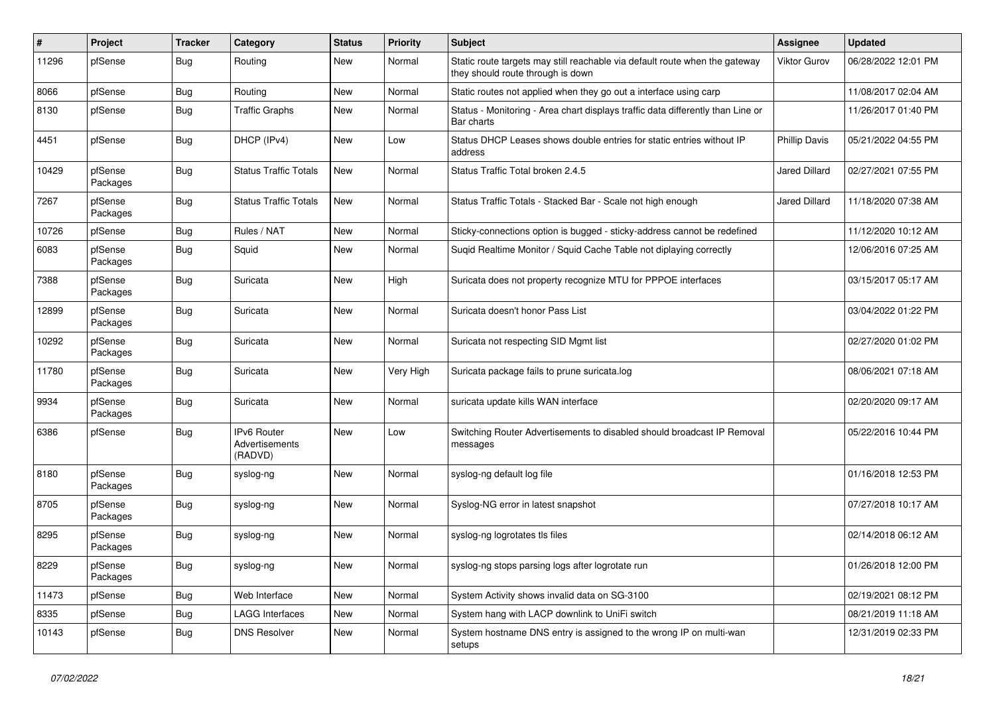| #     | Project             | <b>Tracker</b> | Category                                        | <b>Status</b> | <b>Priority</b> | <b>Subject</b>                                                                                                   | <b>Assignee</b>      | <b>Updated</b>      |
|-------|---------------------|----------------|-------------------------------------------------|---------------|-----------------|------------------------------------------------------------------------------------------------------------------|----------------------|---------------------|
| 11296 | pfSense             | Bug            | Routing                                         | New           | Normal          | Static route targets may still reachable via default route when the gateway<br>they should route through is down | Viktor Gurov         | 06/28/2022 12:01 PM |
| 8066  | pfSense             | Bug            | Routing                                         | <b>New</b>    | Normal          | Static routes not applied when they go out a interface using carp                                                |                      | 11/08/2017 02:04 AM |
| 8130  | pfSense             | Bug            | <b>Traffic Graphs</b>                           | New           | Normal          | Status - Monitoring - Area chart displays traffic data differently than Line or<br>Bar charts                    |                      | 11/26/2017 01:40 PM |
| 4451  | pfSense             | Bug            | DHCP (IPv4)                                     | New           | Low             | Status DHCP Leases shows double entries for static entries without IP<br>address                                 | <b>Phillip Davis</b> | 05/21/2022 04:55 PM |
| 10429 | pfSense<br>Packages | Bug            | <b>Status Traffic Totals</b>                    | New           | Normal          | Status Traffic Total broken 2.4.5                                                                                | <b>Jared Dillard</b> | 02/27/2021 07:55 PM |
| 7267  | pfSense<br>Packages | Bug            | <b>Status Traffic Totals</b>                    | New           | Normal          | Status Traffic Totals - Stacked Bar - Scale not high enough                                                      | <b>Jared Dillard</b> | 11/18/2020 07:38 AM |
| 10726 | pfSense             | Bug            | Rules / NAT                                     | <b>New</b>    | Normal          | Sticky-connections option is bugged - sticky-address cannot be redefined                                         |                      | 11/12/2020 10:12 AM |
| 6083  | pfSense<br>Packages | Bug            | Squid                                           | New           | Normal          | Suqid Realtime Monitor / Squid Cache Table not diplaying correctly                                               |                      | 12/06/2016 07:25 AM |
| 7388  | pfSense<br>Packages | Bug            | Suricata                                        | <b>New</b>    | High            | Suricata does not property recognize MTU for PPPOE interfaces                                                    |                      | 03/15/2017 05:17 AM |
| 12899 | pfSense<br>Packages | Bug            | Suricata                                        | <b>New</b>    | Normal          | Suricata doesn't honor Pass List                                                                                 |                      | 03/04/2022 01:22 PM |
| 10292 | pfSense<br>Packages | Bug            | Suricata                                        | <b>New</b>    | Normal          | Suricata not respecting SID Mgmt list                                                                            |                      | 02/27/2020 01:02 PM |
| 11780 | pfSense<br>Packages | Bug            | Suricata                                        | New           | Very High       | Suricata package fails to prune suricata.log                                                                     |                      | 08/06/2021 07:18 AM |
| 9934  | pfSense<br>Packages | Bug            | Suricata                                        | <b>New</b>    | Normal          | suricata update kills WAN interface                                                                              |                      | 02/20/2020 09:17 AM |
| 6386  | pfSense             | Bug            | <b>IPv6 Router</b><br>Advertisements<br>(RADVD) | New           | Low             | Switching Router Advertisements to disabled should broadcast IP Removal<br>messages                              |                      | 05/22/2016 10:44 PM |
| 8180  | pfSense<br>Packages | Bug            | syslog-ng                                       | <b>New</b>    | Normal          | syslog-ng default log file                                                                                       |                      | 01/16/2018 12:53 PM |
| 8705  | pfSense<br>Packages | Bug            | syslog-ng                                       | <b>New</b>    | Normal          | Syslog-NG error in latest snapshot                                                                               |                      | 07/27/2018 10:17 AM |
| 8295  | pfSense<br>Packages | Bug            | syslog-ng                                       | New           | Normal          | syslog-ng logrotates tls files                                                                                   |                      | 02/14/2018 06:12 AM |
| 8229  | pfSense<br>Packages | Bug            | syslog-ng                                       | New           | Normal          | syslog-ng stops parsing logs after logrotate run                                                                 |                      | 01/26/2018 12:00 PM |
| 11473 | pfSense             | <b>Bug</b>     | Web Interface                                   | New           | Normal          | System Activity shows invalid data on SG-3100                                                                    |                      | 02/19/2021 08:12 PM |
| 8335  | pfSense             | <b>Bug</b>     | <b>LAGG Interfaces</b>                          | New           | Normal          | System hang with LACP downlink to UniFi switch                                                                   |                      | 08/21/2019 11:18 AM |
| 10143 | pfSense             | Bug            | <b>DNS Resolver</b>                             | New           | Normal          | System hostname DNS entry is assigned to the wrong IP on multi-wan<br>setups                                     |                      | 12/31/2019 02:33 PM |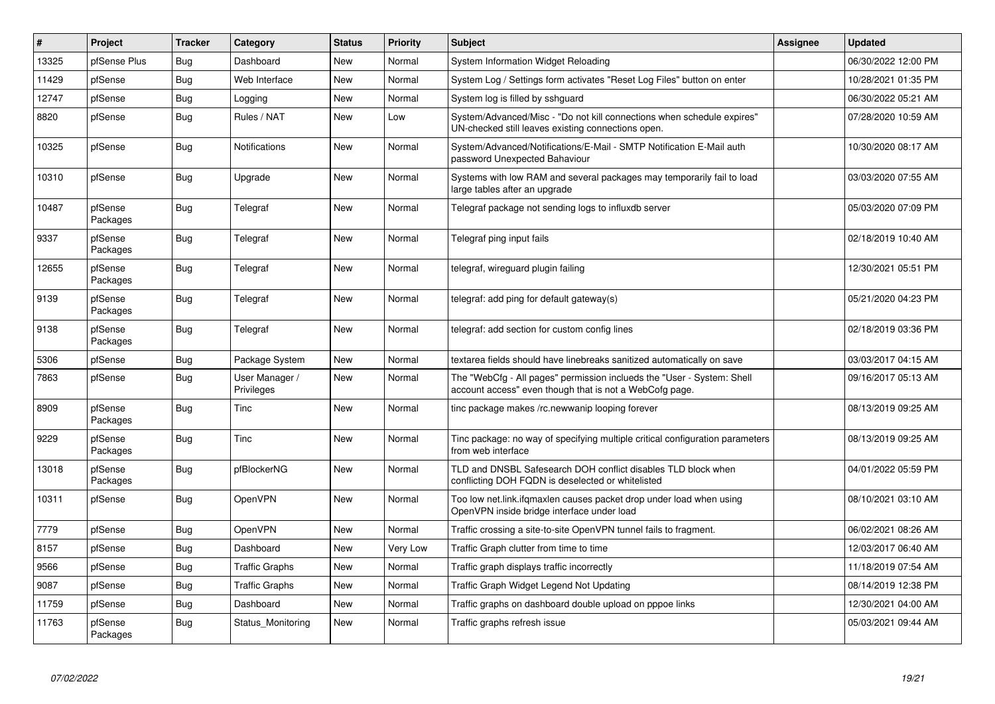| $\vert$ # | Project             | <b>Tracker</b> | Category                     | <b>Status</b> | Priority | <b>Subject</b>                                                                                                                    | Assignee | <b>Updated</b>      |
|-----------|---------------------|----------------|------------------------------|---------------|----------|-----------------------------------------------------------------------------------------------------------------------------------|----------|---------------------|
| 13325     | pfSense Plus        | Bug            | Dashboard                    | <b>New</b>    | Normal   | System Information Widget Reloading                                                                                               |          | 06/30/2022 12:00 PM |
| 11429     | pfSense             | <b>Bug</b>     | Web Interface                | <b>New</b>    | Normal   | System Log / Settings form activates "Reset Log Files" button on enter                                                            |          | 10/28/2021 01:35 PM |
| 12747     | pfSense             | <b>Bug</b>     | Logging                      | New           | Normal   | System log is filled by sshguard                                                                                                  |          | 06/30/2022 05:21 AM |
| 8820      | pfSense             | Bug            | Rules / NAT                  | <b>New</b>    | Low      | System/Advanced/Misc - "Do not kill connections when schedule expires"<br>UN-checked still leaves existing connections open.      |          | 07/28/2020 10:59 AM |
| 10325     | pfSense             | Bug            | <b>Notifications</b>         | <b>New</b>    | Normal   | System/Advanced/Notifications/E-Mail - SMTP Notification E-Mail auth<br>password Unexpected Bahaviour                             |          | 10/30/2020 08:17 AM |
| 10310     | pfSense             | Bug            | Upgrade                      | New           | Normal   | Systems with low RAM and several packages may temporarily fail to load<br>large tables after an upgrade                           |          | 03/03/2020 07:55 AM |
| 10487     | pfSense<br>Packages | Bug            | Telegraf                     | <b>New</b>    | Normal   | Telegraf package not sending logs to influxdb server                                                                              |          | 05/03/2020 07:09 PM |
| 9337      | pfSense<br>Packages | <b>Bug</b>     | Telegraf                     | New           | Normal   | Telegraf ping input fails                                                                                                         |          | 02/18/2019 10:40 AM |
| 12655     | pfSense<br>Packages | Bug            | Telegraf                     | New           | Normal   | telegraf, wireguard plugin failing                                                                                                |          | 12/30/2021 05:51 PM |
| 9139      | pfSense<br>Packages | Bug            | Telegraf                     | New           | Normal   | telegraf: add ping for default gateway(s)                                                                                         |          | 05/21/2020 04:23 PM |
| 9138      | pfSense<br>Packages | <b>Bug</b>     | Telegraf                     | <b>New</b>    | Normal   | telegraf: add section for custom config lines                                                                                     |          | 02/18/2019 03:36 PM |
| 5306      | pfSense             | Bug            | Package System               | <b>New</b>    | Normal   | textarea fields should have linebreaks sanitized automatically on save                                                            |          | 03/03/2017 04:15 AM |
| 7863      | pfSense             | Bug            | User Manager /<br>Privileges | New           | Normal   | The "WebCfg - All pages" permission inclueds the "User - System: Shell<br>account access" even though that is not a WebCofg page. |          | 09/16/2017 05:13 AM |
| 8909      | pfSense<br>Packages | Bug            | Tinc                         | <b>New</b>    | Normal   | tinc package makes /rc.newwanip looping forever                                                                                   |          | 08/13/2019 09:25 AM |
| 9229      | pfSense<br>Packages | Bug            | Tinc                         | <b>New</b>    | Normal   | Tinc package: no way of specifying multiple critical configuration parameters<br>from web interface                               |          | 08/13/2019 09:25 AM |
| 13018     | pfSense<br>Packages | Bug            | pfBlockerNG                  | New           | Normal   | TLD and DNSBL Safesearch DOH conflict disables TLD block when<br>conflicting DOH FQDN is deselected or whitelisted                |          | 04/01/2022 05:59 PM |
| 10311     | pfSense             | Bug            | OpenVPN                      | New           | Normal   | Too low net.link.ifqmaxlen causes packet drop under load when using<br>OpenVPN inside bridge interface under load                 |          | 08/10/2021 03:10 AM |
| 7779      | pfSense             | Bug            | OpenVPN                      | New           | Normal   | Traffic crossing a site-to-site OpenVPN tunnel fails to fragment.                                                                 |          | 06/02/2021 08:26 AM |
| 8157      | pfSense             | <b>Bug</b>     | Dashboard                    | New           | Very Low | Traffic Graph clutter from time to time                                                                                           |          | 12/03/2017 06:40 AM |
| 9566      | pfSense             | <b>Bug</b>     | <b>Traffic Graphs</b>        | New           | Normal   | Traffic graph displays traffic incorrectly                                                                                        |          | 11/18/2019 07:54 AM |
| 9087      | pfSense             | <b>Bug</b>     | <b>Traffic Graphs</b>        | <b>New</b>    | Normal   | Traffic Graph Widget Legend Not Updating                                                                                          |          | 08/14/2019 12:38 PM |
| 11759     | pfSense             | <b>Bug</b>     | Dashboard                    | New           | Normal   | Traffic graphs on dashboard double upload on pppoe links                                                                          |          | 12/30/2021 04:00 AM |
| 11763     | pfSense<br>Packages | <b>Bug</b>     | Status Monitoring            | <b>New</b>    | Normal   | Traffic graphs refresh issue                                                                                                      |          | 05/03/2021 09:44 AM |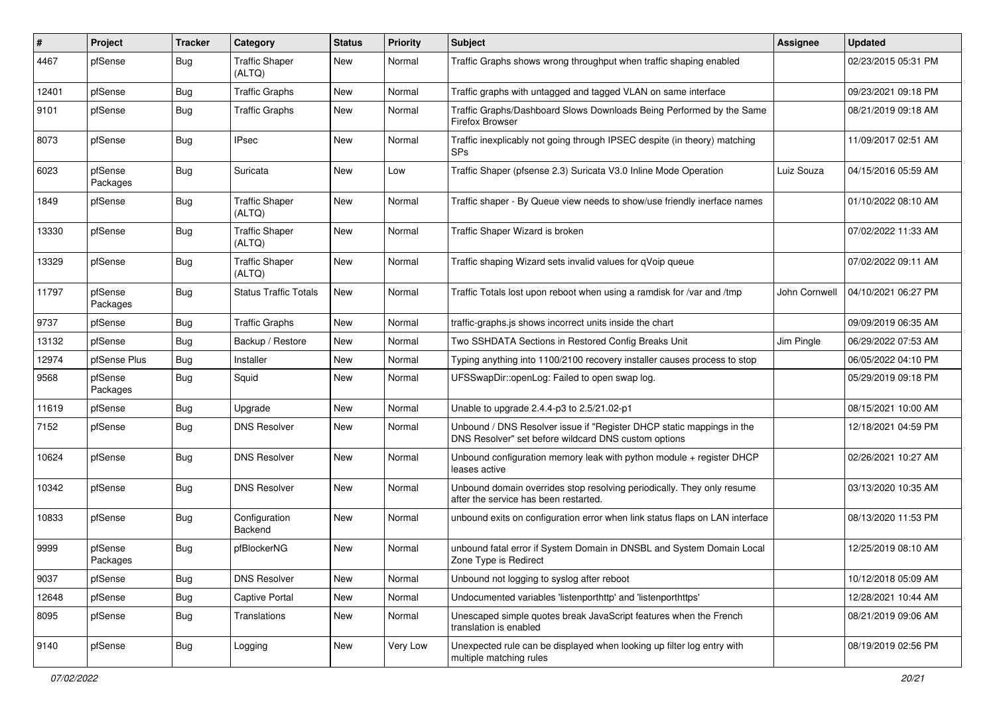| #     | Project             | <b>Tracker</b> | Category                        | <b>Status</b> | <b>Priority</b> | <b>Subject</b>                                                                                                                | Assignee      | <b>Updated</b>      |
|-------|---------------------|----------------|---------------------------------|---------------|-----------------|-------------------------------------------------------------------------------------------------------------------------------|---------------|---------------------|
| 4467  | pfSense             | <b>Bug</b>     | <b>Traffic Shaper</b><br>(ALTQ) | New           | Normal          | Traffic Graphs shows wrong throughput when traffic shaping enabled                                                            |               | 02/23/2015 05:31 PM |
| 12401 | pfSense             | <b>Bug</b>     | <b>Traffic Graphs</b>           | New           | Normal          | Traffic graphs with untagged and tagged VLAN on same interface                                                                |               | 09/23/2021 09:18 PM |
| 9101  | pfSense             | Bug            | <b>Traffic Graphs</b>           | New           | Normal          | Traffic Graphs/Dashboard Slows Downloads Being Performed by the Same<br><b>Firefox Browser</b>                                |               | 08/21/2019 09:18 AM |
| 8073  | pfSense             | Bug            | <b>IPsec</b>                    | New           | Normal          | Traffic inexplicably not going through IPSEC despite (in theory) matching<br><b>SPs</b>                                       |               | 11/09/2017 02:51 AM |
| 6023  | pfSense<br>Packages | Bug            | Suricata                        | New           | Low             | Traffic Shaper (pfsense 2.3) Suricata V3.0 Inline Mode Operation                                                              | Luiz Souza    | 04/15/2016 05:59 AM |
| 1849  | pfSense             | Bug            | <b>Traffic Shaper</b><br>(ALTQ) | New           | Normal          | Traffic shaper - By Queue view needs to show/use friendly inerface names                                                      |               | 01/10/2022 08:10 AM |
| 13330 | pfSense             | Bug            | <b>Traffic Shaper</b><br>(ALTQ) | New           | Normal          | Traffic Shaper Wizard is broken                                                                                               |               | 07/02/2022 11:33 AM |
| 13329 | pfSense             | Bug            | <b>Traffic Shaper</b><br>(ALTQ) | New           | Normal          | Traffic shaping Wizard sets invalid values for qVoip queue                                                                    |               | 07/02/2022 09:11 AM |
| 11797 | pfSense<br>Packages | Bug            | <b>Status Traffic Totals</b>    | <b>New</b>    | Normal          | Traffic Totals lost upon reboot when using a ramdisk for /var and /tmp                                                        | John Cornwell | 04/10/2021 06:27 PM |
| 9737  | pfSense             | <b>Bug</b>     | <b>Traffic Graphs</b>           | <b>New</b>    | Normal          | traffic-graphs.js shows incorrect units inside the chart                                                                      |               | 09/09/2019 06:35 AM |
| 13132 | pfSense             | Bug            | Backup / Restore                | New           | Normal          | Two SSHDATA Sections in Restored Config Breaks Unit                                                                           | Jim Pingle    | 06/29/2022 07:53 AM |
| 12974 | pfSense Plus        | <b>Bug</b>     | Installer                       | New           | Normal          | Typing anything into 1100/2100 recovery installer causes process to stop                                                      |               | 06/05/2022 04:10 PM |
| 9568  | pfSense<br>Packages | Bug            | Squid                           | New           | Normal          | UFSSwapDir::openLog: Failed to open swap log.                                                                                 |               | 05/29/2019 09:18 PM |
| 11619 | pfSense             | Bug            | Upgrade                         | New           | Normal          | Unable to upgrade 2.4.4-p3 to 2.5/21.02-p1                                                                                    |               | 08/15/2021 10:00 AM |
| 7152  | pfSense             | <b>Bug</b>     | <b>DNS Resolver</b>             | New           | Normal          | Unbound / DNS Resolver issue if "Register DHCP static mappings in the<br>DNS Resolver" set before wildcard DNS custom options |               | 12/18/2021 04:59 PM |
| 10624 | pfSense             | Bug            | <b>DNS Resolver</b>             | New           | Normal          | Unbound configuration memory leak with python module + register DHCP<br>leases active                                         |               | 02/26/2021 10:27 AM |
| 10342 | pfSense             | <b>Bug</b>     | <b>DNS Resolver</b>             | New           | Normal          | Unbound domain overrides stop resolving periodically. They only resume<br>after the service has been restarted.               |               | 03/13/2020 10:35 AM |
| 10833 | pfSense             | Bug            | Configuration<br>Backend        | New           | Normal          | unbound exits on configuration error when link status flaps on LAN interface                                                  |               | 08/13/2020 11:53 PM |
| 9999  | pfSense<br>Packages | Bug            | pfBlockerNG                     | New           | Normal          | unbound fatal error if System Domain in DNSBL and System Domain Local<br>Zone Type is Redirect                                |               | 12/25/2019 08:10 AM |
| 9037  | pfSense             | Bug            | <b>DNS Resolver</b>             | New           | Normal          | Unbound not logging to syslog after reboot                                                                                    |               | 10/12/2018 05:09 AM |
| 12648 | pfSense             | <b>Bug</b>     | <b>Captive Portal</b>           | New           | Normal          | Undocumented variables 'listenporthttp' and 'listenporthttps'                                                                 |               | 12/28/2021 10:44 AM |
| 8095  | pfSense             | <b>Bug</b>     | Translations                    | New           | Normal          | Unescaped simple quotes break JavaScript features when the French<br>translation is enabled                                   |               | 08/21/2019 09:06 AM |
| 9140  | pfSense             | <b>Bug</b>     | Logging                         | New           | Very Low        | Unexpected rule can be displayed when looking up filter log entry with<br>multiple matching rules                             |               | 08/19/2019 02:56 PM |